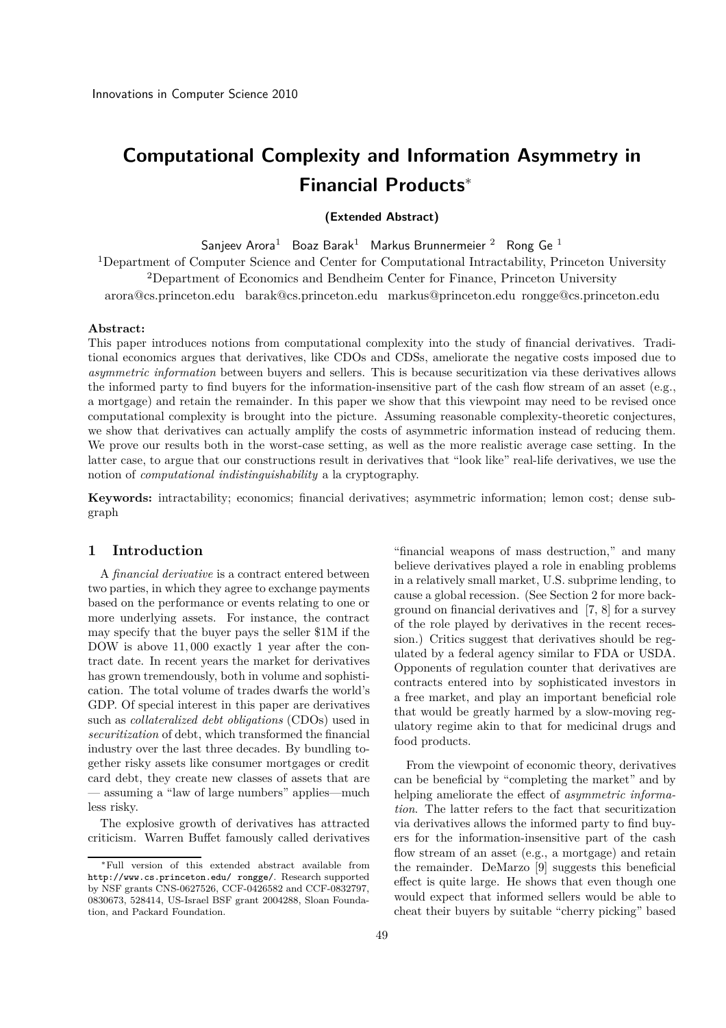# **Computational Complexity and Information Asymmetry in Financial Products**<sup>∗</sup>

# **(Extended Abstract)**

Sanjeev Arora Doaz Barak Markus Brunnermeier Rong Ge 1<br><sup>1</sup>Department of Computer Science and Center for Computational Intractability, Princeton University <sup>2</sup>Department of Economics and Bendheim Center for Finance, Princeton University arora@cs.princeton.edu barak@cs.princeton.edu markus@princeton.edu rongge@cs.princeton.edu

#### **Abstract:**

This paper introduces notions from computational complexity into the study of financial derivatives. Traditional economics argues that derivatives, like CDOs and CDSs, ameliorate the negative costs imposed due to *asymmetric information* between buyers and sellers. This is because securitization via these derivatives allows the informed party to find buyers for the information-insensitive part of the cash flow stream of an asset (e.g., a mortgage) and retain the remainder. In this paper we show that this viewpoint may need to be revised once computational complexity is brought into the picture. Assuming reasonable complexity-theoretic conjectures, we show that derivatives can actually amplify the costs of asymmetric information instead of reducing them. We prove our results both in the worst-case setting, as well as the more realistic average case setting. In the latter case, to argue that our constructions result in derivatives that "look like" real-life derivatives, we use the notion of *computational indistinguishability* a la cryptography.

**Keywords:** intractability; economics; financial derivatives; asymmetric information; lemon cost; dense subgraph

## **1 Introduction**

A *financial derivative* is a contract entered between two parties, in which they agree to exchange payments based on the performance or events relating to one or more underlying assets. For instance, the contract may specify that the buyer pays the seller \$1M if the DOW is above 11*,* 000 exactly 1 year after the contract date. In recent years the market for derivatives has grown tremendously, both in volume and sophistication. The total volume of trades dwarfs the world's GDP. Of special interest in this paper are derivatives such as *collateralized debt obligations* (CDOs) used in *securitization* of debt, which transformed the financial industry over the last three decades. By bundling together risky assets like consumer mortgages or credit card debt, they create new classes of assets that are — assuming a "law of large numbers" applies—much less risky.

The explosive growth of derivatives has attracted criticism. Warren Buffet famously called derivatives

"financial weapons of mass destruction," and many believe derivatives played a role in enabling problems in a relatively small market, U.S. subprime lending, to cause a global recession. (See Section 2 for more background on financial derivatives and [7, 8] for a survey of the role played by derivatives in the recent recession.) Critics suggest that derivatives should be regulated by a federal agency similar to FDA or USDA. Opponents of regulation counter that derivatives are contracts entered into by sophisticated investors in a free market, and play an important beneficial role that would be greatly harmed by a slow-moving regulatory regime akin to that for medicinal drugs and food products.

From the viewpoint of economic theory, derivatives can be beneficial by "completing the market" and by helping ameliorate the effect of *asymmetric information*. The latter refers to the fact that securitization via derivatives allows the informed party to find buyers for the information-insensitive part of the cash flow stream of an asset (e.g., a mortgage) and retain the remainder. DeMarzo [9] suggests this beneficial effect is quite large. He shows that even though one would expect that informed sellers would be able to cheat their buyers by suitable "cherry picking" based

<sup>∗</sup>Full version of this extended abstract available from http://www.cs.princeton.edu/ rongge/. Research supported by NSF grants CNS-0627526, CCF-0426582 and CCF-0832797, 0830673, 528414, US-Israel BSF grant 2004288, Sloan Foundation, and Packard Foundation.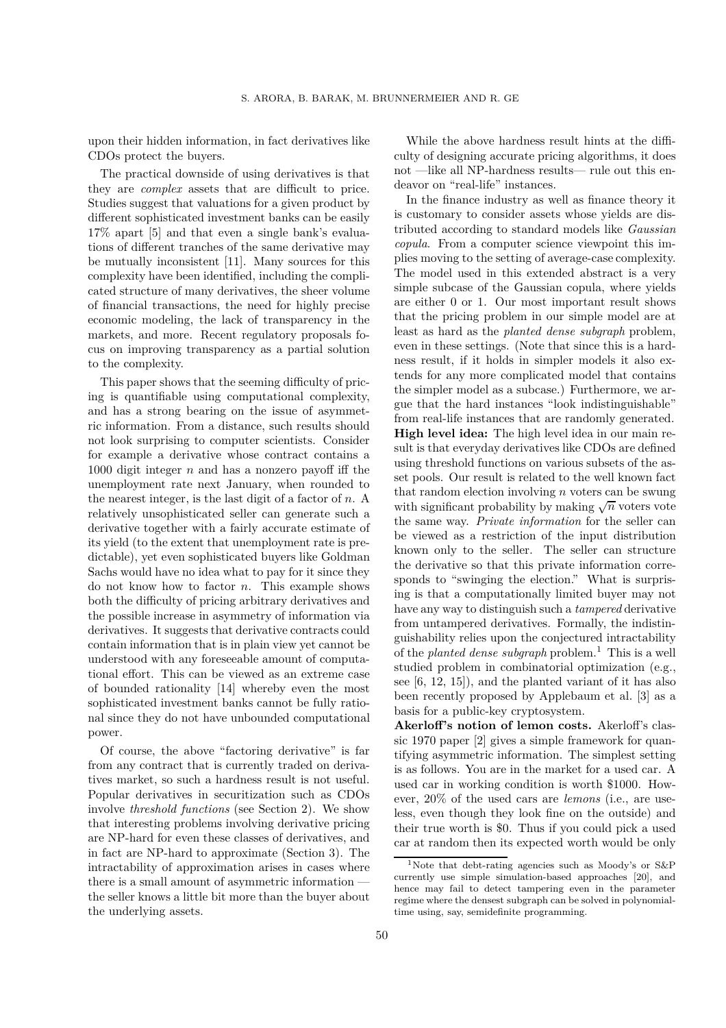upon their hidden information, in fact derivatives like CDOs protect the buyers.

The practical downside of using derivatives is that they are *complex* assets that are difficult to price. Studies suggest that valuations for a given product by different sophisticated investment banks can be easily 17% apart [5] and that even a single bank's evaluations of different tranches of the same derivative may be mutually inconsistent [11]. Many sources for this complexity have been identified, including the complicated structure of many derivatives, the sheer volume of financial transactions, the need for highly precise economic modeling, the lack of transparency in the markets, and more. Recent regulatory proposals focus on improving transparency as a partial solution to the complexity.

This paper shows that the seeming difficulty of pricing is quantifiable using computational complexity, and has a strong bearing on the issue of asymmetric information. From a distance, such results should not look surprising to computer scientists. Consider for example a derivative whose contract contains a 1000 digit integer *n* and has a nonzero payoff iff the unemployment rate next January, when rounded to the nearest integer, is the last digit of a factor of *n*. A relatively unsophisticated seller can generate such a derivative together with a fairly accurate estimate of its yield (to the extent that unemployment rate is predictable), yet even sophisticated buyers like Goldman Sachs would have no idea what to pay for it since they do not know how to factor *n*. This example shows both the difficulty of pricing arbitrary derivatives and the possible increase in asymmetry of information via derivatives. It suggests that derivative contracts could contain information that is in plain view yet cannot be understood with any foreseeable amount of computational effort. This can be viewed as an extreme case of bounded rationality [14] whereby even the most sophisticated investment banks cannot be fully rational since they do not have unbounded computational power.

Of course, the above "factoring derivative" is far from any contract that is currently traded on derivatives market, so such a hardness result is not useful. Popular derivatives in securitization such as CDOs involve *threshold functions* (see Section 2). We show that interesting problems involving derivative pricing are NP-hard for even these classes of derivatives, and in fact are NP-hard to approximate (Section 3). The intractability of approximation arises in cases where there is a small amount of asymmetric information the seller knows a little bit more than the buyer about the underlying assets.

While the above hardness result hints at the difficulty of designing accurate pricing algorithms, it does not —like all NP-hardness results— rule out this endeavor on "real-life" instances.

In the finance industry as well as finance theory it is customary to consider assets whose yields are distributed according to standard models like *Gaussian copula*. From a computer science viewpoint this implies moving to the setting of average-case complexity. The model used in this extended abstract is a very simple subcase of the Gaussian copula, where yields are either 0 or 1. Our most important result shows that the pricing problem in our simple model are at least as hard as the *planted dense subgraph* problem, even in these settings. (Note that since this is a hardness result, if it holds in simpler models it also extends for any more complicated model that contains the simpler model as a subcase.) Furthermore, we argue that the hard instances "look indistinguishable" from real-life instances that are randomly generated. **High level idea:** The high level idea in our main result is that everyday derivatives like CDOs are defined using threshold functions on various subsets of the asset pools. Our result is related to the well known fact that random election involving *n* voters can be swung with significant probability by making  $\sqrt{n}$  voters vote the same way. *Private information* for the seller can be viewed as a restriction of the input distribution known only to the seller. The seller can structure the derivative so that this private information corresponds to "swinging the election." What is surprising is that a computationally limited buyer may not have any way to distinguish such a *tampered* derivative from untampered derivatives. Formally, the indistinguishability relies upon the conjectured intractability of the *planted dense subgraph* problem.<sup>1</sup> This is a well studied problem in combinatorial optimization (e.g., see [6, 12, 15]), and the planted variant of it has also been recently proposed by Applebaum et al. [3] as a basis for a public-key cryptosystem.

**Akerloff's notion of lemon costs.** Akerloff's classic 1970 paper [2] gives a simple framework for quantifying asymmetric information. The simplest setting is as follows. You are in the market for a used car. A used car in working condition is worth \$1000. However, 20% of the used cars are *lemons* (i.e., are useless, even though they look fine on the outside) and their true worth is \$0. Thus if you could pick a used car at random then its expected worth would be only

<sup>1</sup>Note that debt-rating agencies such as Moody's or S&P currently use simple simulation-based approaches [20], and hence may fail to detect tampering even in the parameter regime where the densest subgraph can be solved in polynomialtime using, say, semidefinite programming.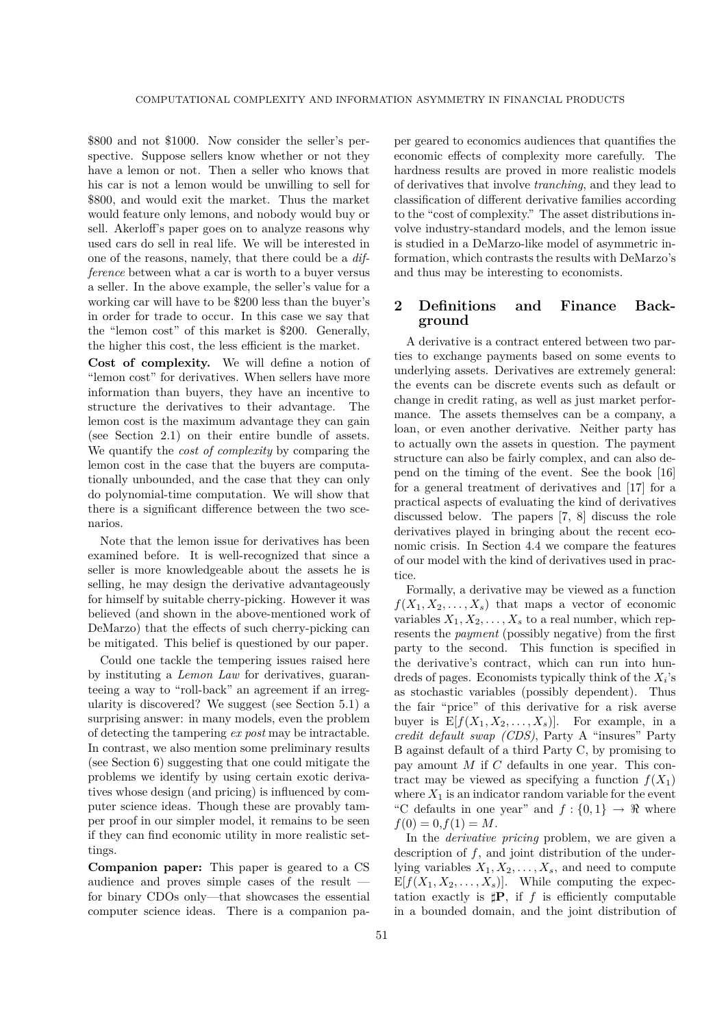\$800 and not \$1000. Now consider the seller's perspective. Suppose sellers know whether or not they have a lemon or not. Then a seller who knows that his car is not a lemon would be unwilling to sell for \$800, and would exit the market. Thus the market would feature only lemons, and nobody would buy or sell. Akerloff's paper goes on to analyze reasons why used cars do sell in real life. We will be interested in one of the reasons, namely, that there could be a *difference* between what a car is worth to a buyer versus a seller. In the above example, the seller's value for a working car will have to be \$200 less than the buyer's in order for trade to occur. In this case we say that the "lemon cost" of this market is \$200. Generally, the higher this cost, the less efficient is the market.

**Cost of complexity.** We will define a notion of "lemon cost" for derivatives. When sellers have more information than buyers, they have an incentive to structure the derivatives to their advantage. The lemon cost is the maximum advantage they can gain (see Section 2.1) on their entire bundle of assets. We quantify the *cost of complexity* by comparing the lemon cost in the case that the buyers are computationally unbounded, and the case that they can only do polynomial-time computation. We will show that there is a significant difference between the two scenarios.

Note that the lemon issue for derivatives has been examined before. It is well-recognized that since a seller is more knowledgeable about the assets he is selling, he may design the derivative advantageously for himself by suitable cherry-picking. However it was believed (and shown in the above-mentioned work of DeMarzo) that the effects of such cherry-picking can be mitigated. This belief is questioned by our paper.

Could one tackle the tempering issues raised here by instituting a *Lemon Law* for derivatives, guaranteeing a way to "roll-back" an agreement if an irregularity is discovered? We suggest (see Section 5.1) a surprising answer: in many models, even the problem of detecting the tampering *ex post* may be intractable. In contrast, we also mention some preliminary results (see Section 6) suggesting that one could mitigate the problems we identify by using certain exotic derivatives whose design (and pricing) is influenced by computer science ideas. Though these are provably tamper proof in our simpler model, it remains to be seen if they can find economic utility in more realistic settings.

**Companion paper:** This paper is geared to a CS audience and proves simple cases of the result for binary CDOs only—that showcases the essential computer science ideas. There is a companion paper geared to economics audiences that quantifies the economic effects of complexity more carefully. The hardness results are proved in more realistic models of derivatives that involve *tranching*, and they lead to classification of different derivative families according to the "cost of complexity." The asset distributions involve industry-standard models, and the lemon issue is studied in a DeMarzo-like model of asymmetric information, which contrasts the results with DeMarzo's and thus may be interesting to economists.

# **2 Definitions and Finance Background**

A derivative is a contract entered between two parties to exchange payments based on some events to underlying assets. Derivatives are extremely general: the events can be discrete events such as default or change in credit rating, as well as just market performance. The assets themselves can be a company, a loan, or even another derivative. Neither party has to actually own the assets in question. The payment structure can also be fairly complex, and can also depend on the timing of the event. See the book [16] for a general treatment of derivatives and [17] for a practical aspects of evaluating the kind of derivatives discussed below. The papers [7, 8] discuss the role derivatives played in bringing about the recent economic crisis. In Section 4.4 we compare the features of our model with the kind of derivatives used in practice.

Formally, a derivative may be viewed as a function  $f(X_1, X_2, \ldots, X_s)$  that maps a vector of economic variables  $X_1, X_2, \ldots, X_s$  to a real number, which represents the *payment* (possibly negative) from the first party to the second. This function is specified in the derivative's contract, which can run into hundreds of pages. Economists typically think of the *Xi*'s as stochastic variables (possibly dependent). Thus the fair "price" of this derivative for a risk averse buyer is  $E[f(X_1, X_2, \ldots, X_s)]$ . For example, in a *credit default swap (CDS)*, Party A "insures" Party B against default of a third Party C, by promising to pay amount *M* if *C* defaults in one year. This contract may be viewed as specifying a function  $f(X_1)$ where  $X_1$  is an indicator random variable for the event "C defaults in one year" and  $f: \{0,1\} \rightarrow \Re$  where  $f(0) = 0, f(1) = M$ .

In the *derivative pricing* problem, we are given a description of *f*, and joint distribution of the underlying variables  $X_1, X_2, \ldots, X_s$ , and need to compute  $E[f(X_1, X_2, \ldots, X_s)].$  While computing the expectation exactly is  $\sharp \mathbf{P}$ , if *f* is efficiently computable in a bounded domain, and the joint distribution of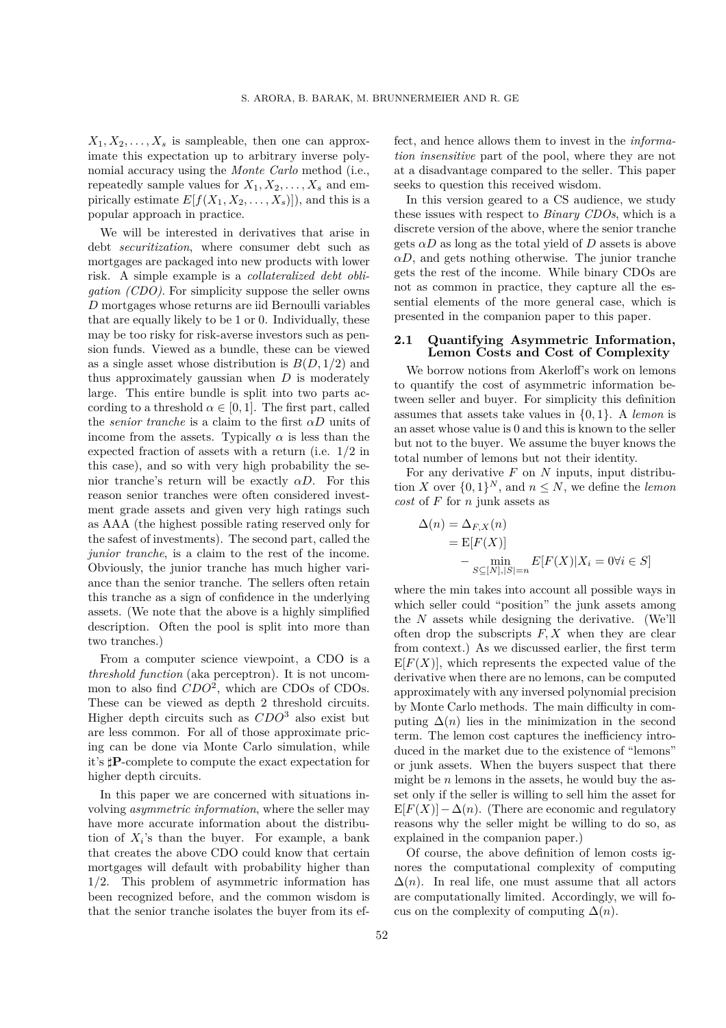$X_1, X_2, \ldots, X_s$  is sampleable, then one can approximate this expectation up to arbitrary inverse polynomial accuracy using the *Monte Carlo* method (i.e., repeatedly sample values for  $X_1, X_2, \ldots, X_s$  and empirically estimate  $E[f(X_1, X_2, \ldots, X_s)]$ , and this is a popular approach in practice.

We will be interested in derivatives that arise in debt *securitization*, where consumer debt such as mortgages are packaged into new products with lower risk. A simple example is a *collateralized debt obligation (CDO)*. For simplicity suppose the seller owns *D* mortgages whose returns are iid Bernoulli variables that are equally likely to be 1 or 0. Individually, these may be too risky for risk-averse investors such as pension funds. Viewed as a bundle, these can be viewed as a single asset whose distribution is  $B(D, 1/2)$  and thus approximately gaussian when *D* is moderately large. This entire bundle is split into two parts according to a threshold  $\alpha \in [0,1]$ . The first part, called the *senior tranche* is a claim to the first *αD* units of income from the assets. Typically  $\alpha$  is less than the expected fraction of assets with a return (i.e. 1*/*2 in this case), and so with very high probability the senior tranche's return will be exactly *αD*. For this reason senior tranches were often considered investment grade assets and given very high ratings such as AAA (the highest possible rating reserved only for the safest of investments). The second part, called the *junior tranche*, is a claim to the rest of the income. Obviously, the junior tranche has much higher variance than the senior tranche. The sellers often retain this tranche as a sign of confidence in the underlying assets. (We note that the above is a highly simplified description. Often the pool is split into more than two tranches.)

From a computer science viewpoint, a CDO is a *threshold function* (aka perceptron). It is not uncommon to also find *CDO*2, which are CDOs of CDOs. These can be viewed as depth 2 threshold circuits. Higher depth circuits such as *CDO*<sup>3</sup> also exist but are less common. For all of those approximate pricing can be done via Monte Carlo simulation, while it's **P**-complete to compute the exact expectation for higher depth circuits.

In this paper we are concerned with situations involving *asymmetric information*, where the seller may have more accurate information about the distribution of  $X_i$ 's than the buyer. For example, a bank that creates the above CDO could know that certain mortgages will default with probability higher than 1*/*2. This problem of asymmetric information has been recognized before, and the common wisdom is that the senior tranche isolates the buyer from its ef-

fect, and hence allows them to invest in the *information insensitive* part of the pool, where they are not at a disadvantage compared to the seller. This paper seeks to question this received wisdom.

In this version geared to a CS audience, we study these issues with respect to *Binary CDOs*, which is a discrete version of the above, where the senior tranche gets  $\alpha D$  as long as the total yield of  $D$  assets is above  $\alpha D$ , and gets nothing otherwise. The junior tranche gets the rest of the income. While binary CDOs are not as common in practice, they capture all the essential elements of the more general case, which is presented in the companion paper to this paper.

## **2.1 Quantifying Asymmetric Information, Lemon Costs and Cost of Complexity**

We borrow notions from Akerloff's work on lemons to quantify the cost of asymmetric information between seller and buyer. For simplicity this definition assumes that assets take values in {0*,* 1}. A *lemon* is an asset whose value is 0 and this is known to the seller but not to the buyer. We assume the buyer knows the total number of lemons but not their identity.

For any derivative *F* on *N* inputs, input distribution *X* over  $\{0,1\}^N$ , and  $n \leq N$ , we define the *lemon cost* of *F* for *n* junk assets as

$$
\Delta(n) = \Delta_{F,X}(n)
$$
  
=  $E[F(X)]$   

$$
- \min_{S \subseteq [N], |S| = n} E[F(X)|X_i = 0 \forall i \in S]
$$

where the min takes into account all possible ways in which seller could "position" the junk assets among the *N* assets while designing the derivative. (We'll often drop the subscripts  $F, X$  when they are clear from context.) As we discussed earlier, the first term  $E[F(X)]$ , which represents the expected value of the derivative when there are no lemons, can be computed approximately with any inversed polynomial precision by Monte Carlo methods. The main difficulty in computing  $\Delta(n)$  lies in the minimization in the second term. The lemon cost captures the inefficiency introduced in the market due to the existence of "lemons" or junk assets. When the buyers suspect that there might be *n* lemons in the assets, he would buy the asset only if the seller is willing to sell him the asset for  $E[F(X)] - \Delta(n)$ . (There are economic and regulatory reasons why the seller might be willing to do so, as explained in the companion paper.)

Of course, the above definition of lemon costs ignores the computational complexity of computing  $\Delta(n)$ . In real life, one must assume that all actors are computationally limited. Accordingly, we will focus on the complexity of computing  $\Delta(n)$ .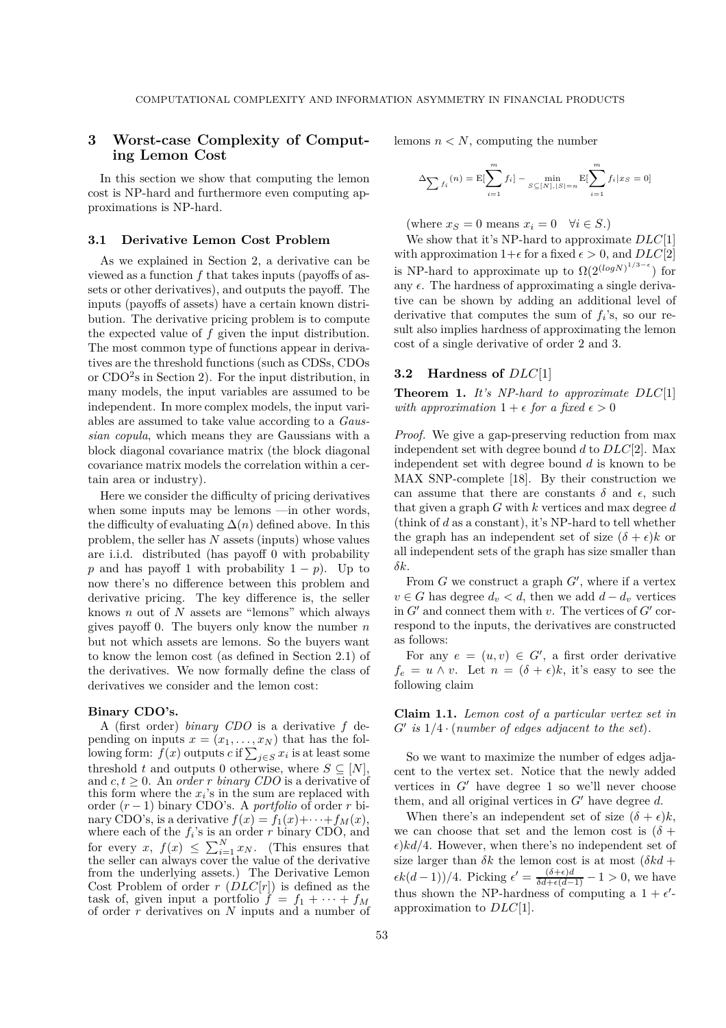# **3 Worst-case Complexity of Computing Lemon Cost**

In this section we show that computing the lemon cost is NP-hard and furthermore even computing approximations is NP-hard.

#### **3.1 Derivative Lemon Cost Problem**

As we explained in Section 2, a derivative can be viewed as a function *f* that takes inputs (payoffs of assets or other derivatives), and outputs the payoff. The inputs (payoffs of assets) have a certain known distribution. The derivative pricing problem is to compute the expected value of *f* given the input distribution. The most common type of functions appear in derivatives are the threshold functions (such as CDSs, CDOs or  $CDO<sup>2</sup>$ s in Section 2). For the input distribution, in many models, the input variables are assumed to be independent. In more complex models, the input variables are assumed to take value according to a *Gaussian copula*, which means they are Gaussians with a block diagonal covariance matrix (the block diagonal covariance matrix models the correlation within a certain area or industry).

Here we consider the difficulty of pricing derivatives when some inputs may be lemons —in other words, the difficulty of evaluating  $\Delta(n)$  defined above. In this problem, the seller has *N* assets (inputs) whose values are i.i.d. distributed (has payoff 0 with probability *p* and has payoff 1 with probability  $1 - p$ . Up to now there's no difference between this problem and derivative pricing. The key difference is, the seller knows *n* out of *N* assets are "lemons" which always gives payoff 0. The buyers only know the number *n* but not which assets are lemons. So the buyers want to know the lemon cost (as defined in Section 2.1) of the derivatives. We now formally define the class of derivatives we consider and the lemon cost:

#### **Binary CDO's.**

A (first order) *binary CDO* is a derivative *f* depending on inputs  $x = (x_1, \ldots, x_N)$  that has the following form:  $f(x)$  outputs  $c$  if  $\sum_{j \in S} x_i$  is at least some threshold *t* and outputs 0 otherwise, where  $S \subseteq [N]$ , and  $c, t \geq 0$ . An *order r binary CDO* is a derivative of this form where the *xi*'s in the sum are replaced with order (*r* − 1) binary CDO's. A *portfolio* of order *r* binary CDO's, is a derivative  $f(x) = f_1(x) + \cdots + f_M(x)$ , where each of the  $f_i$ 's is an order  $r$  binary CDO, and for every  $x, f(x) \le \sum_{i=1}^{N} x_i$ . (This ensures that the seller can always cover the value of the derivative the seller can always cover the value of the derivative from the underlying assets.) The Derivative Lemon Cost Problem of order *r* (*DLC*[*r*]) is defined as the task of, given input a portfolio  $\hat{f} = f_1 + \cdots + f_M$ of order *r* derivatives on *N* inputs and a number of lemons  $n < N$ , computing the number

$$
\Delta \sum f_i(n) = \mathbb{E}[\sum_{i=1}^m f_i] - \min_{S \subseteq [N], |S| = n} \mathbb{E}[\sum_{i=1}^m f_i | x_S = 0]
$$

(where  $x_S = 0$  means  $x_i = 0 \quad \forall i \in S$ .)

We show that it's NP-hard to approximate *DLC*[1] with approximation  $1+\epsilon$  for a fixed  $\epsilon > 0$ , and  $DLC[2]$ is NP-hard to approximate up to  $\Omega(2^{(log N)^{1/3-\epsilon}})$  for any  $\epsilon$ . The hardness of approximating a single derivative can be shown by adding an additional level of derivative that computes the sum of *fi*'s, so our result also implies hardness of approximating the lemon cost of a single derivative of order 2 and 3.

#### **3.2 Hardness of** *DLC*[1]

**Theorem 1.** *It's NP-hard to approximate DLC*[1] *with approximation*  $1 + \epsilon$  *for a fixed*  $\epsilon > 0$ 

*Proof.* We give a gap-preserving reduction from max independent set with degree bound *d* to *DLC*[2]. Max independent set with degree bound *d* is known to be MAX SNP-complete [18]. By their construction we can assume that there are constants  $\delta$  and  $\epsilon$ , such that given a graph *G* with *k* vertices and max degree *d* (think of *d* as a constant), it's NP-hard to tell whether the graph has an independent set of size  $(\delta + \epsilon)k$  or all independent sets of the graph has size smaller than *δk*.

From *G* we construct a graph *G* , where if a vertex  $v \in G$  has degree  $d_v < d$ , then we add  $d - d_v$  vertices in  $G'$  and connect them with  $v$ . The vertices of  $G'$  correspond to the inputs, the derivatives are constructed as follows:

For any  $e = (u, v) \in G'$ , a first order derivative  $f_e = u \wedge v$ . Let  $n = (\delta + \epsilon)k$ , it's easy to see the following claim

**Claim 1.1.** *Lemon cost of a particular vertex set in G is* 1*/*4 · (*number of edges adjacent to the set*)*.*

So we want to maximize the number of edges adjacent to the vertex set. Notice that the newly added vertices in  $G'$  have degree 1 so we'll never choose them, and all original vertices in  $G'$  have degree  $d$ .

When there's an independent set of size  $(\delta + \epsilon)k$ , we can choose that set and the lemon cost is  $(\delta +$  $\epsilon$ )*kd*/4. However, when there's no independent set of size larger than  $\delta k$  the lemon cost is at most  $(\delta k d +$  $\epsilon k(d-1)/4$ . Picking  $\epsilon' = \frac{(\delta + \epsilon)d}{\delta d + \epsilon(d-1)}$  $\frac{(0+\epsilon)a}{\delta d+\epsilon(d-1)} - 1 > 0$ , we have thus shown the NP-hardness of computing a  $1 + \epsilon'$ approximation to *DLC*[1].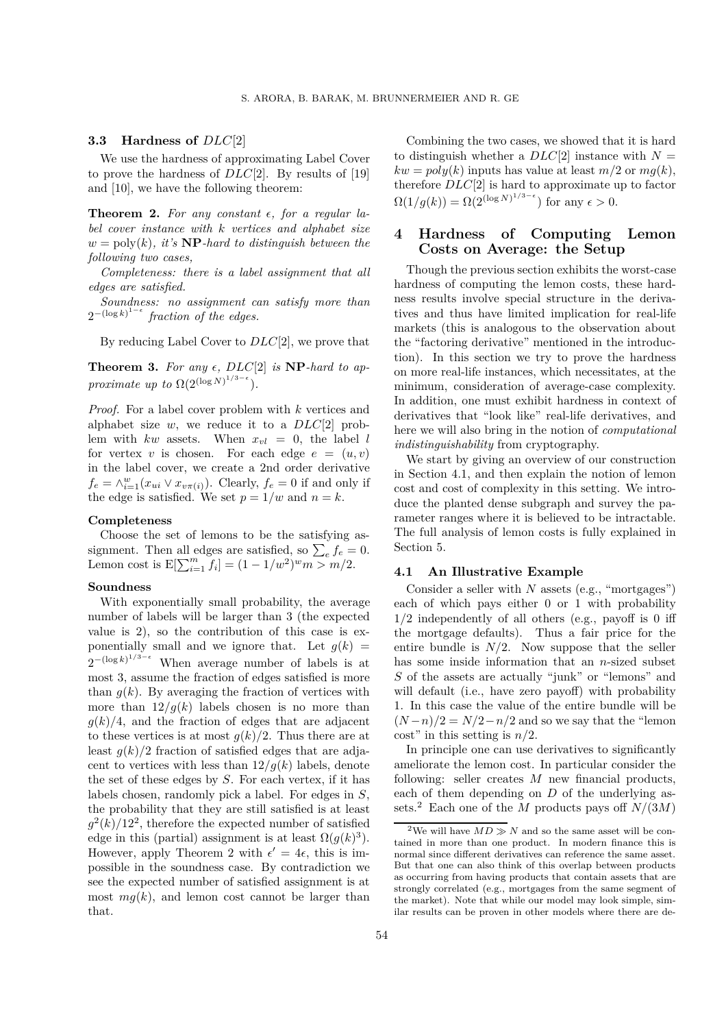#### **3.3 Hardness of** *DLC*[2]

We use the hardness of approximating Label Cover to prove the hardness of *DLC*[2]. By results of [19] and [10], we have the following theorem:

**Theorem 2.** For any constant  $\epsilon$ , for a regular la*bel cover instance with k vertices and alphabet size*  $w = \text{poly}(k)$ , it's  $\bf NP$ *-hard to distinguish between the following two cases,*

*Completeness: there is a label assignment that all edges are satisfied.*

*Soundness: no assignment can satisfy more than*  $2^{-(\log k)^{1-\epsilon}}$  fraction of the edges.

By reducing Label Cover to *DLC*[2], we prove that

**Theorem 3.** For any  $\epsilon$ ,  $DLC[2]$  is **NP***-hard to approximate up to*  $\Omega(2^{(\log N)^{1/3-\epsilon}})$ *.* 

*Proof.* For a label cover problem with *k* vertices and alphabet size *w*, we reduce it to a *DLC*[2] problem with  $kw$  assets. When  $x_{vl} = 0$ , the label *l* for vertex *v* is chosen. For each edge  $e = (u, v)$ in the label cover, we create a 2nd order derivative  $f_e = \wedge_{i=1}^w (x_{ui} \vee x_{v\pi(i)})$ . Clearly,  $f_e = 0$  if and only if the edge is satisfied. We set  $p = 1/w$  and  $n = k$ .

#### **Completeness**

Choose the set of lemons to be the satisfying assignment. Then all edges are satisfied, so  $\sum_{e} f_e = 0$ . Lemon cost is  $E[\sum_{i=1}^{m} f_i] = (1 - 1/w^2)^w m > m/2.$ 

#### **Soundness**

With exponentially small probability, the average number of labels will be larger than 3 (the expected value is 2), so the contribution of this case is exponentially small and we ignore that. Let  $q(k)$  =  $2^{-(\log k)^{1/3-\epsilon}}$  When average number of labels is at most 3, assume the fraction of edges satisfied is more than  $q(k)$ . By averaging the fraction of vertices with more than  $12/g(k)$  labels chosen is no more than  $g(k)/4$ , and the fraction of edges that are adjacent to these vertices is at most  $q(k)/2$ . Thus there are at least  $g(k)/2$  fraction of satisfied edges that are adjacent to vertices with less than  $12/g(k)$  labels, denote the set of these edges by *S*. For each vertex, if it has labels chosen, randomly pick a label. For edges in *S*, the probability that they are still satisfied is at least  $g^2(k)/12^2$ , therefore the expected number of satisfied edge in this (partial) assignment is at least  $\Omega(q(k)^3)$ . However, apply Theorem 2 with  $\epsilon' = 4\epsilon$ , this is impossible in the soundness case. By contradiction we see the expected number of satisfied assignment is at most  $mg(k)$ , and lemon cost cannot be larger than that.

Combining the two cases, we showed that it is hard to distinguish whether a  $DLC[2]$  instance with  $N =$  $kw = poly(k)$  inputs has value at least  $m/2$  or  $mq(k)$ , therefore *DLC*[2] is hard to approximate up to factor  $\Omega(1/g(k)) = \Omega(2^{(\log N)^{1/3-\epsilon}})$  for any  $\epsilon > 0$ .

# **4 Hardness of Computing Lemon Costs on Average: the Setup**

Though the previous section exhibits the worst-case hardness of computing the lemon costs, these hardness results involve special structure in the derivatives and thus have limited implication for real-life markets (this is analogous to the observation about the "factoring derivative" mentioned in the introduction). In this section we try to prove the hardness on more real-life instances, which necessitates, at the minimum, consideration of average-case complexity. In addition, one must exhibit hardness in context of derivatives that "look like" real-life derivatives, and here we will also bring in the notion of *computational indistinguishability* from cryptography.

We start by giving an overview of our construction in Section 4.1, and then explain the notion of lemon cost and cost of complexity in this setting. We introduce the planted dense subgraph and survey the parameter ranges where it is believed to be intractable. The full analysis of lemon costs is fully explained in Section 5.

#### **4.1 An Illustrative Example**

Consider a seller with *N* assets (e.g., "mortgages") each of which pays either 0 or 1 with probability 1*/*2 independently of all others (e.g., payoff is 0 iff the mortgage defaults). Thus a fair price for the entire bundle is  $N/2$ . Now suppose that the seller has some inside information that an *n*-sized subset *S* of the assets are actually "junk" or "lemons" and will default (i.e., have zero payoff) with probability 1. In this case the value of the entire bundle will be  $(N-n)/2 = N/2 - n/2$  and so we say that the "lemon" cost" in this setting is *n/*2.

In principle one can use derivatives to significantly ameliorate the lemon cost. In particular consider the following: seller creates *M* new financial products, each of them depending on *D* of the underlying assets.<sup>2</sup> Each one of the *M* products pays off  $N/(3M)$ 

<sup>&</sup>lt;sup>2</sup>We will have  $MD \gg N$  and so the same asset will be contained in more than one product. In modern finance this is normal since different derivatives can reference the same asset. But that one can also think of this overlap between products as occurring from having products that contain assets that are strongly correlated (e.g., mortgages from the same segment of the market). Note that while our model may look simple, similar results can be proven in other models where there are de-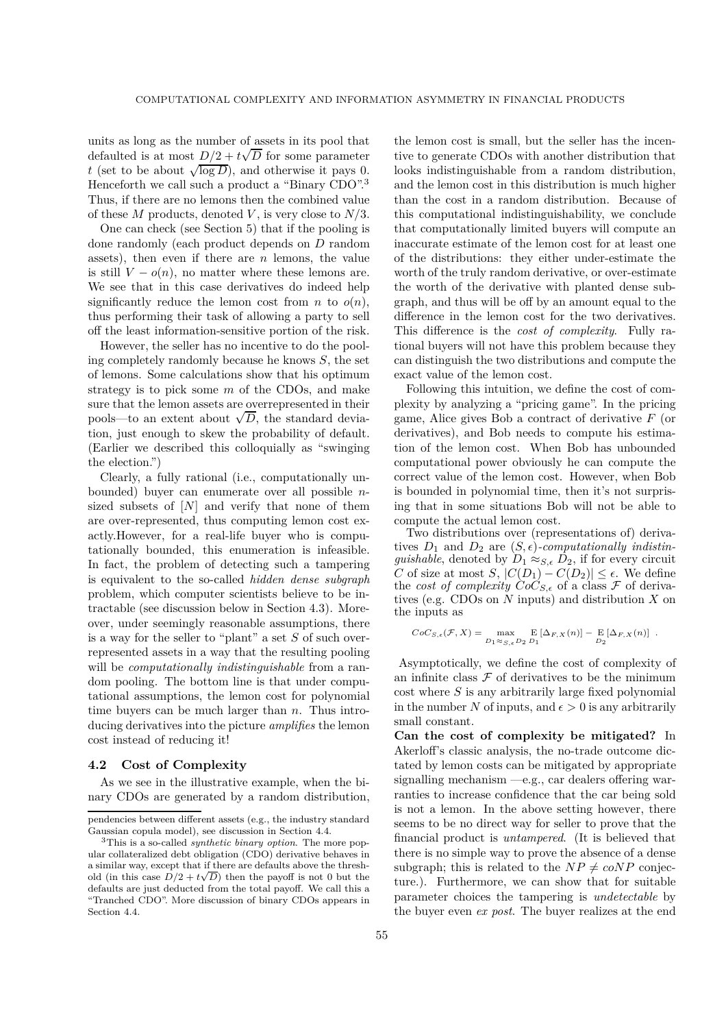units as long as the number of assets in its pool that defaulted is at most  $D/2 + t\sqrt{D}$  for some parameter *t* (set to be about  $\sqrt{\log D}$ ), and otherwise it pays 0. Henceforth we call such a product a "Binary CDO".3 Thus, if there are no lemons then the combined value of these *M* products, denoted *V* , is very close to *N/*3.

One can check (see Section 5) that if the pooling is done randomly (each product depends on *D* random assets), then even if there are *n* lemons, the value is still  $V - o(n)$ , no matter where these lemons are. We see that in this case derivatives do indeed help significantly reduce the lemon cost from *n* to  $o(n)$ , thus performing their task of allowing a party to sell off the least information-sensitive portion of the risk.

However, the seller has no incentive to do the pooling completely randomly because he knows *S*, the set of lemons. Some calculations show that his optimum strategy is to pick some *m* of the CDOs, and make sure that the lemon assets are overrepresented in their pools—to an extent about  $\sqrt{D}$ , the standard deviation, just enough to skew the probability of default. (Earlier we described this colloquially as "swinging the election.")

Clearly, a fully rational (i.e., computationally unbounded) buyer can enumerate over all possible *n*sized subsets of [*N*] and verify that none of them are over-represented, thus computing lemon cost exactly.However, for a real-life buyer who is computationally bounded, this enumeration is infeasible. In fact, the problem of detecting such a tampering is equivalent to the so-called *hidden dense subgraph* problem, which computer scientists believe to be intractable (see discussion below in Section 4.3). Moreover, under seemingly reasonable assumptions, there is a way for the seller to "plant" a set *S* of such overrepresented assets in a way that the resulting pooling will be *computationally indistinguishable* from a random pooling. The bottom line is that under computational assumptions, the lemon cost for polynomial time buyers can be much larger than *n*. Thus introducing derivatives into the picture *amplifies* the lemon cost instead of reducing it!

# **4.2 Cost of Complexity**

As we see in the illustrative example, when the binary CDOs are generated by a random distribution, the lemon cost is small, but the seller has the incentive to generate CDOs with another distribution that looks indistinguishable from a random distribution, and the lemon cost in this distribution is much higher than the cost in a random distribution. Because of this computational indistinguishability, we conclude that computationally limited buyers will compute an inaccurate estimate of the lemon cost for at least one of the distributions: they either under-estimate the worth of the truly random derivative, or over-estimate the worth of the derivative with planted dense subgraph, and thus will be off by an amount equal to the difference in the lemon cost for the two derivatives. This difference is the *cost of complexity*. Fully rational buyers will not have this problem because they can distinguish the two distributions and compute the exact value of the lemon cost.

Following this intuition, we define the cost of complexity by analyzing a "pricing game". In the pricing game, Alice gives Bob a contract of derivative *F* (or derivatives), and Bob needs to compute his estimation of the lemon cost. When Bob has unbounded computational power obviously he can compute the correct value of the lemon cost. However, when Bob is bounded in polynomial time, then it's not surprising that in some situations Bob will not be able to compute the actual lemon cost.

Two distributions over (representations of) derivatives  $D_1$  and  $D_2$  are  $(S, \epsilon)$ -computationally indistin*guishable*, denoted by  $D_1 \approx_{S,\epsilon} D_2$ , if for every circuit  $C$  of size at most  $S$ ,  $C(D_1)$ ,  $C(D_2)$ ,  $C(D_3)$ ,  $C(D_4)$ *C* of size at most *S*,  $|C(D_1) - C(D_2)| \leq \epsilon$ . We define the *cost of complexity*  $CoC_{S,\epsilon}$  of a class  $\mathcal F$  of derivatives (e.g. CDOs on *N* inputs) and distribution *X* on the inputs as

$$
CoC_{S,\epsilon}(\mathcal{F},X) = \max_{D_1 \approx_{S,\epsilon} D_2} E[\Delta_{F,X}(n)] - E[\Delta_{F,X}(n)] .
$$

Asymptotically, we define the cost of complexity of an infinite class  $\mathcal F$  of derivatives to be the minimum cost where *S* is any arbitrarily large fixed polynomial in the number N of inputs, and  $\epsilon > 0$  is any arbitrarily small constant.

**Can the cost of complexity be mitigated?** In Akerloff's classic analysis, the no-trade outcome dictated by lemon costs can be mitigated by appropriate signalling mechanism —e.g., car dealers offering warranties to increase confidence that the car being sold is not a lemon. In the above setting however, there seems to be no direct way for seller to prove that the financial product is *untampered*. (It is believed that there is no simple way to prove the absence of a dense subgraph; this is related to the  $NP \neq coNP$  conjecture.). Furthermore, we can show that for suitable parameter choices the tampering is *undetectable* by the buyer even *ex post*. The buyer realizes at the end

pendencies between different assets (e.g., the industry standard Gaussian copula model), see discussion in Section 4.4.

<sup>3</sup>This is a so-called *synthetic binary option*. The more popular collateralized debt obligation (CDO) derivative behaves in a similar way, except that if there are defaults above the threshold (in this case  $D/2 + t\sqrt{D}$ ) then the payoff is not 0 but the defaults are just deducted from the total payoff. We call this a "Tranched CDO". More discussion of binary CDOs appears in Section 4.4.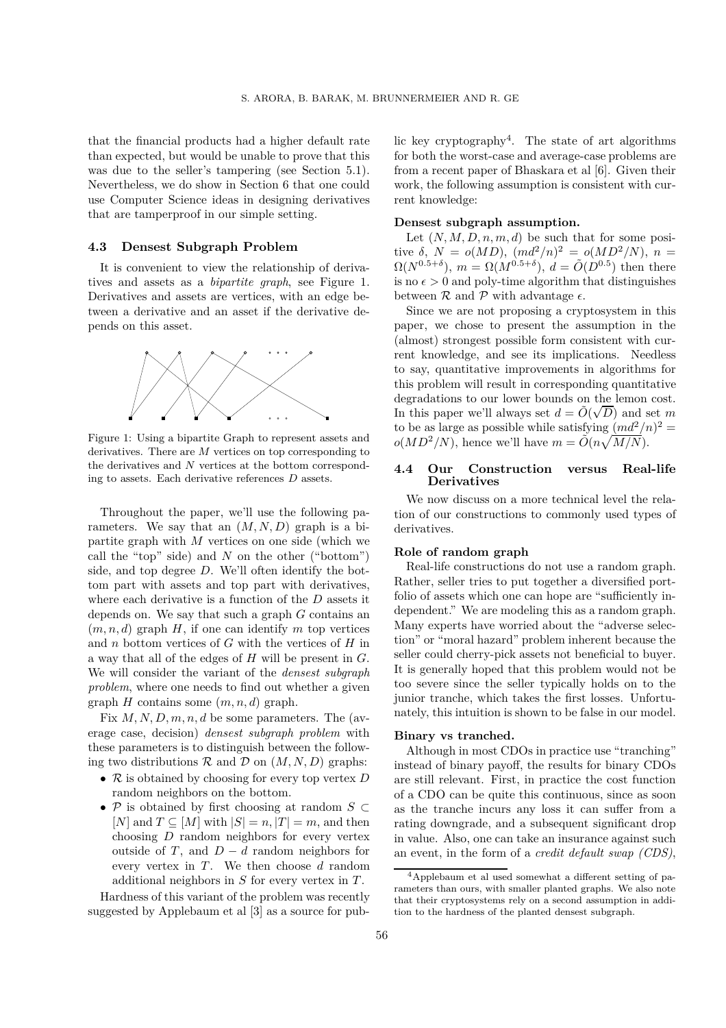that the financial products had a higher default rate than expected, but would be unable to prove that this was due to the seller's tampering (see Section 5.1). Nevertheless, we do show in Section 6 that one could use Computer Science ideas in designing derivatives that are tamperproof in our simple setting.

#### **4.3 Densest Subgraph Problem**

It is convenient to view the relationship of derivatives and assets as a *bipartite graph*, see Figure 1. Derivatives and assets are vertices, with an edge between a derivative and an asset if the derivative depends on this asset.



Figure 1: Using a bipartite Graph to represent assets and derivatives. There are *M* vertices on top corresponding to the derivatives and *N* vertices at the bottom corresponding to assets. Each derivative references *D* assets.

Throughout the paper, we'll use the following parameters. We say that an  $(M, N, D)$  graph is a bipartite graph with *M* vertices on one side (which we call the "top" side) and *N* on the other ("bottom") side, and top degree *D*. We'll often identify the bottom part with assets and top part with derivatives, where each derivative is a function of the *D* assets it depends on. We say that such a graph *G* contains an  $(m, n, d)$  graph *H*, if one can identify *m* top vertices and *n* bottom vertices of *G* with the vertices of *H* in a way that all of the edges of *H* will be present in *G*. We will consider the variant of the *densest subgraph problem*, where one needs to find out whether a given graph *H* contains some (*m, n, d*) graph.

Fix *M, N, D, m, n, d* be some parameters. The (average case, decision) *densest subgraph problem* with these parameters is to distinguish between the following two distributions  $\mathcal R$  and  $\mathcal D$  on  $(M, N, D)$  graphs:

- R is obtained by choosing for every top vertex *D* random neighbors on the bottom.
- P is obtained by first choosing at random *S* ⊂  $[N]$  and  $T \subseteq [M]$  with  $|S| = n$ ,  $|T| = m$ , and then choosing *D* random neighbors for every vertex outside of *T*, and  $D - d$  random neighbors for every vertex in *T*. We then choose *d* random additional neighbors in *S* for every vertex in *T* .

Hardness of this variant of the problem was recently suggested by Applebaum et al [3] as a source for public key cryptography<sup>4</sup>. The state of art algorithms for both the worst-case and average-case problems are from a recent paper of Bhaskara et al [6]. Given their work, the following assumption is consistent with current knowledge:

#### **Densest subgraph assumption.**

Let  $(N, M, D, n, m, d)$  be such that for some posi $i$ <sub>*i*</sub> *δ*, *N* = *o*(*MD*),  $(md^2/n)^2 = o(MD^2/N)$ , *n* =  $\Omega(N^{0.5+\delta})$ ,  $m = \Omega(M^{0.5+\delta})$ ,  $d = \tilde{O}(D^{0.5})$  then there is no  $\epsilon > 0$  and poly-time algorithm that distinguishes between  $\mathcal R$  and  $\mathcal P$  with advantage  $\epsilon$ .

Since we are not proposing a cryptosystem in this paper, we chose to present the assumption in the (almost) strongest possible form consistent with current knowledge, and see its implications. Needless to say, quantitative improvements in algorithms for this problem will result in corresponding quantitative degradations to our lower bounds on the lemon cost. In this paper we'll always set  $d = \tilde{O}(\sqrt{D})$  and set *m* to be as large as possible while satisfying  $(md^2/n)^2 =$  $o(MD^2/N)$ , hence we'll have  $m = \tilde{O}(n\sqrt{M/N})$ .

## **4.4 Our Construction versus Real-life Derivatives**

We now discuss on a more technical level the relation of our constructions to commonly used types of derivatives.

#### **Role of random graph**

Real-life constructions do not use a random graph. Rather, seller tries to put together a diversified portfolio of assets which one can hope are "sufficiently independent." We are modeling this as a random graph. Many experts have worried about the "adverse selection" or "moral hazard" problem inherent because the seller could cherry-pick assets not beneficial to buyer. It is generally hoped that this problem would not be too severe since the seller typically holds on to the junior tranche, which takes the first losses. Unfortunately, this intuition is shown to be false in our model.

#### **Binary vs tranched.**

Although in most CDOs in practice use "tranching" instead of binary payoff, the results for binary CDOs are still relevant. First, in practice the cost function of a CDO can be quite this continuous, since as soon as the tranche incurs any loss it can suffer from a rating downgrade, and a subsequent significant drop in value. Also, one can take an insurance against such an event, in the form of a *credit default swap (CDS)*,

<sup>&</sup>lt;sup>4</sup>Applebaum et al used somewhat a different setting of parameters than ours, with smaller planted graphs. We also note that their cryptosystems rely on a second assumption in addition to the hardness of the planted densest subgraph.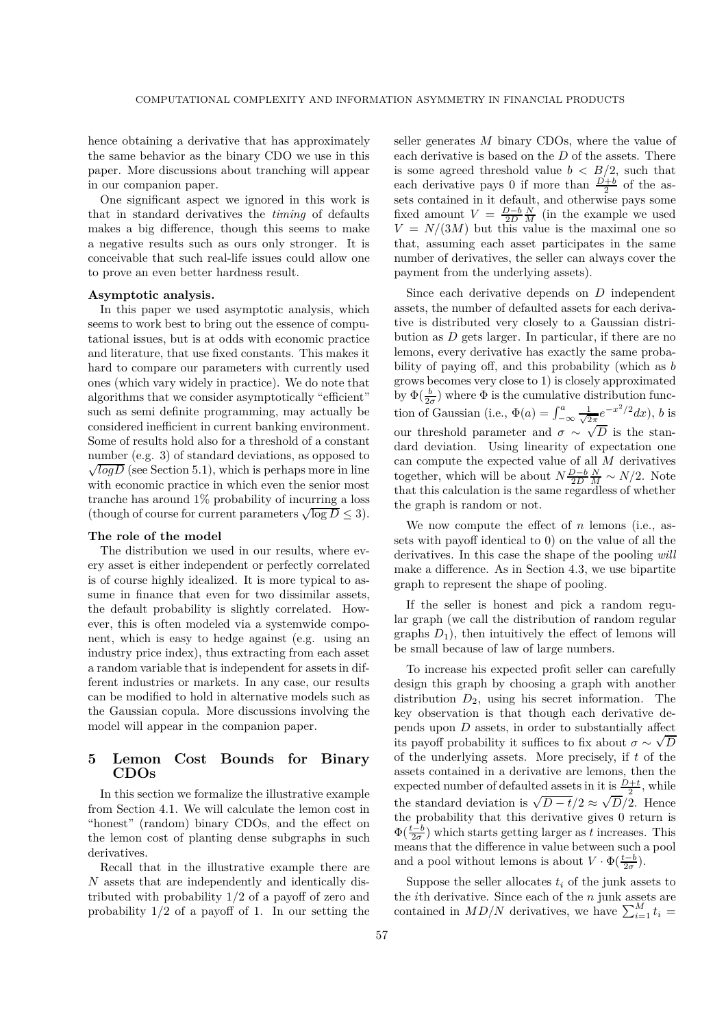hence obtaining a derivative that has approximately the same behavior as the binary CDO we use in this paper. More discussions about tranching will appear in our companion paper.

One significant aspect we ignored in this work is that in standard derivatives the *timing* of defaults makes a big difference, though this seems to make a negative results such as ours only stronger. It is conceivable that such real-life issues could allow one to prove an even better hardness result.

#### **Asymptotic analysis.**

In this paper we used asymptotic analysis, which seems to work best to bring out the essence of computational issues, but is at odds with economic practice and literature, that use fixed constants. This makes it hard to compare our parameters with currently used ones (which vary widely in practice). We do note that algorithms that we consider asymptotically "efficient" such as semi definite programming, may actually be considered inefficient in current banking environment. Some of results hold also for a threshold of a constant number (e.g. 3) of standard deviations, as opposed to  $\sqrt{log D}$  (see Section 5.1), which is perhaps more in line with economic practice in which even the senior most tranche has around 1% probability of incurring a loss (though of course for current parameters  $\sqrt{\log D} \leq 3$ ).

#### **The role of the model**

The distribution we used in our results, where every asset is either independent or perfectly correlated is of course highly idealized. It is more typical to assume in finance that even for two dissimilar assets, the default probability is slightly correlated. However, this is often modeled via a systemwide component, which is easy to hedge against (e.g. using an industry price index), thus extracting from each asset a random variable that is independent for assets in different industries or markets. In any case, our results can be modified to hold in alternative models such as the Gaussian copula. More discussions involving the model will appear in the companion paper.

# **5 Lemon Cost Bounds for Binary CDOs**

In this section we formalize the illustrative example from Section 4.1. We will calculate the lemon cost in "honest" (random) binary CDOs, and the effect on the lemon cost of planting dense subgraphs in such derivatives.

Recall that in the illustrative example there are *N* assets that are independently and identically distributed with probability 1*/*2 of a payoff of zero and probability 1*/*2 of a payoff of 1. In our setting the

seller generates *M* binary CDOs, where the value of each derivative is based on the *D* of the assets. There is some agreed threshold value  $b < B/2$ , such that each derivative pays 0 if more than  $\frac{D+b}{2}$  of the as-<br>sets contained in it default, and otherwise pays some sets contained in it default, and otherwise pays some fixed amount  $V = \frac{D-b}{2D} \frac{N}{M}$  (in the example we used  $V = N/(3M)$  but this value is the maximal one so  $V = N/(3M)$  but this value is the maximal one so that, assuming each asset participates in the same number of derivatives, the seller can always cover the payment from the underlying assets).

Since each derivative depends on *D* independent assets, the number of defaulted assets for each derivative is distributed very closely to a Gaussian distribution as *D* gets larger. In particular, if there are no lemons, every derivative has exactly the same probability of paying off, and this probability (which as *b* grows becomes very close to 1) is closely approximated by  $\Phi(\frac{b}{2\sigma})$  where  $\Phi$  is the cumulative distribution function of Gaussian (i.e.,  $\Phi(a) = \int_{-\infty}^{a} \frac{1}{\sqrt{2\pi}} e^{-x^2/2} dx$ ), *b* is our threshold parameter and  $\sigma \sim \sqrt{D}$  is the standard deviation. Using linearity of expectation one can compute the expected value of all *M* derivatives together, which will be about  $N\frac{D-b}{2D} \frac{N}{M} \sim N/2$ . Note that this calculation is the same regardless of whether the graph is random or not.

We now compute the effect of *n* lemons (i.e., assets with payoff identical to 0) on the value of all the derivatives. In this case the shape of the pooling *will* make a difference. As in Section 4.3, we use bipartite graph to represent the shape of pooling.

If the seller is honest and pick a random regular graph (we call the distribution of random regular graphs  $D_1$ ), then intuitively the effect of lemons will be small because of law of large numbers.

To increase his expected profit seller can carefully design this graph by choosing a graph with another distribution  $D_2$ , using his secret information. The key observation is that though each derivative depends upon *D* assets, in order to substantially affect its payoff probability it suffices to fix about  $\sigma \sim \sqrt{D}$ of the underlying assets. More precisely, if *t* of the assets contained in a derivative are lemons, then the expected number of defaulted assets in it is  $\frac{D+t}{2}$ , while the standard deviation is  $\sqrt{D-t}/2 \approx \sqrt{D}/2$ . Hence the probability that this derivative gives 0 return is  $\Phi(\frac{t-b}{2\sigma})$  which starts getting larger as *t* increases. This means that the difference in value between such a pool means that the difference in value between such a pool and a pool without lemons is about  $V \cdot \Phi(\frac{t-b}{2\sigma})$ .

Suppose the seller allocates  $t_i$  of the junk assets to the *i*th derivative. Since each of the *n* junk assets are contained in  $MD/N$  derivatives, we have  $\sum_{i=1}^{M} t_i =$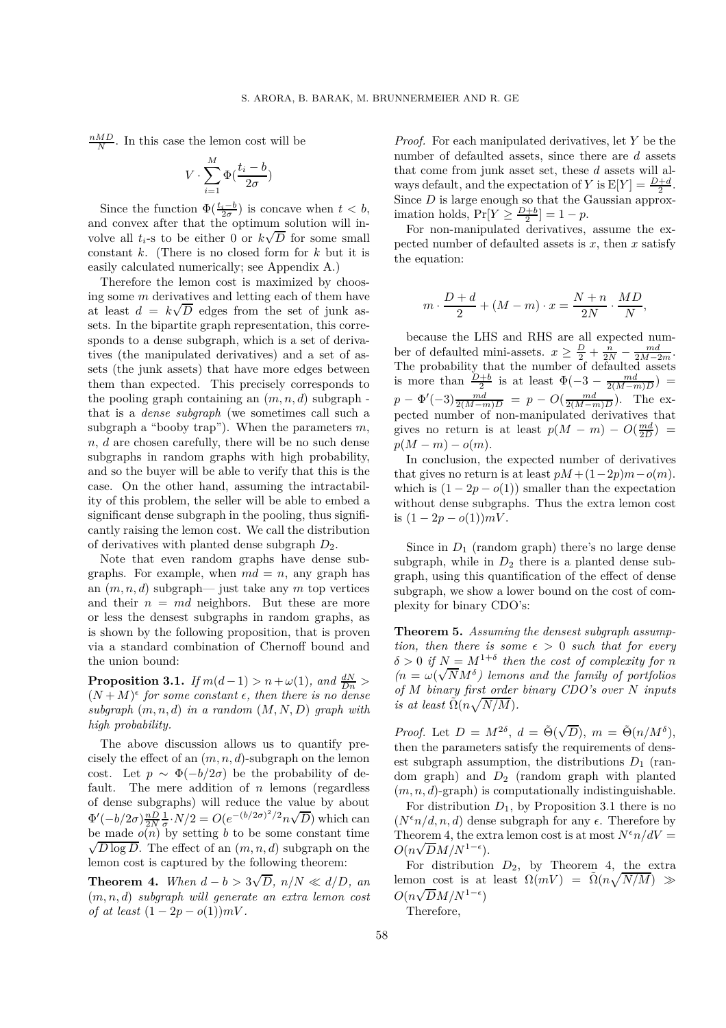$\frac{nMD}{N}$ . In this case the lemon cost will be

$$
V \cdot \sum_{i=1}^{M} \Phi(\frac{t_i - b}{2\sigma})
$$

Since the function  $\Phi(\frac{t_i-b}{2\sigma})$  is concave when  $t < b$ , and convex after that the optimum solution will involve all  $t_i$ -s to be either 0 or  $k\sqrt{D}$  for some small constant *k*. (There is no closed form for *k* but it is easily calculated numerically; see Appendix A.)

Therefore the lemon cost is maximized by choosing some *m* derivatives and letting each of them have at least  $d = k\sqrt{D}$  edges from the set of junk assets. In the bipartite graph representation, this corresponds to a dense subgraph, which is a set of derivatives (the manipulated derivatives) and a set of assets (the junk assets) that have more edges between them than expected. This precisely corresponds to the pooling graph containing an (*m, n, d*) subgraph that is a *dense subgraph* (we sometimes call such a subgraph a "booby trap"). When the parameters *m*, *n*, *d* are chosen carefully, there will be no such dense subgraphs in random graphs with high probability, and so the buyer will be able to verify that this is the case. On the other hand, assuming the intractability of this problem, the seller will be able to embed a significant dense subgraph in the pooling, thus significantly raising the lemon cost. We call the distribution of derivatives with planted dense subgraph  $D_2$ .

Note that even random graphs have dense subgraphs. For example, when  $md = n$ , any graph has an (*m, n, d*) subgraph— just take any *m* top vertices and their  $n = md$  neighbors. But these are more or less the densest subgraphs in random graphs, as is shown by the following proposition, that is proven via a standard combination of Chernoff bound and the union bound:

**Proposition 3.1.** *If*  $m(d-1) > n + \omega(1)$ *, and*  $\frac{dN}{Dn} >$  $(N+M)^{\epsilon}$  for some constant  $\epsilon$ , then there is no dense  $subgraph (m, n, d)$  *in a random*  $(M, N, D)$  *graph with high probability.*

The above discussion allows us to quantify precisely the effect of an (*m, n, d*)-subgraph on the lemon cost. Let  $p \sim \Phi(-b/2\sigma)$  be the probability of default. The mere addition of *n* lemons (regardless of dense subgraphs) will reduce the value by about  $\Phi'(-b/2\sigma)\frac{nD}{2N}\frac{1}{\sigma}\cdot N/2 = O(e^{-(b/2\sigma)^2/2}n\sqrt{D})$  which can  $\frac{2}{P}$  ( $\frac{\partial}{\partial N}$   $\frac{2}{\sigma}$   $\frac{1}{2}$   $\frac{1}{2}$   $\frac{1}{2}$   $\frac{1}{2}$   $\frac{1}{2}$   $\frac{1}{2}$   $\frac{1}{2}$   $\frac{1}{2}$   $\frac{1}{2}$   $\frac{1}{2}$   $\frac{1}{2}$   $\frac{1}{2}$   $\frac{1}{2}$   $\frac{1}{2}$   $\frac{1}{2}$   $\frac{1}{2}$   $\frac{1}{2}$   $\frac{1}{2}$   $\frac{1}{2$  $\sqrt{D \log D}$ . The effect of an  $(m, n, d)$  subgraph on the lemon cost is captured by the following theorem:

**Theorem 4.** When  $d - b > 3\sqrt{D}$ ,  $n/N \ll d/D$ , and (*m, n, d*) *subgraph will generate an extra lemon cost of at least*  $(1 - 2p - o(1))mV$ .

*Proof.* For each manipulated derivatives, let *Y* be the number of defaulted assets, since there are *d* assets that come from junk asset set, these *d* assets will always default, and the expectation of *Y* is  $E[Y] = \frac{D+d}{2}$ .<br>Since *D* is large enough so that the Gaussian approx-Since *D* is large enough so that the Gaussian approximation holds,  $Pr[Y \geq \frac{D+b}{2}] = 1 - p$ .<br>For non-manipulated derivatives

For non-manipulated derivatives, assume the expected number of defaulted assets is *x*, then *x* satisfy the equation:

$$
m \cdot \frac{D+d}{2} + (M-m) \cdot x = \frac{N+n}{2N} \cdot \frac{MD}{N},
$$

because the LHS and RHS are all expected number of defaulted mini-assets.  $x \geq \frac{D}{2} + \frac{n}{2N} - \frac{md}{2M-2m}$ .<br>The probability that the number of defaulted assets is more than  $\frac{D+b}{2}$  is at least  $\Phi(-3 - \frac{md}{2(M-m)D}) =$  $p - \Phi'(-3) \frac{md}{2(M-m)D} = p - O(\frac{md}{2(M-m)D})$ . The expected number of non-manipulated derivatives that gives no return is at least  $p(M - m) - O(\frac{md}{2D}) =$ <br> $p(M - m) - o(m)$  $p(M - m) - o(m)$ .

In conclusion, the expected number of derivatives that gives no return is at least  $pM + (1-2p)m - o(m)$ . which is  $(1 - 2p - o(1))$  smaller than the expectation without dense subgraphs. Thus the extra lemon cost is  $(1 - 2p - o(1))mV$ .

Since in  $D_1$  (random graph) there's no large dense subgraph, while in  $D_2$  there is a planted dense subgraph, using this quantification of the effect of dense subgraph, we show a lower bound on the cost of complexity for binary CDO's:

**Theorem 5.** *Assuming the densest subgraph assumption, then there is some*  $\epsilon > 0$  *such that for every*  $\delta > 0$  *if*  $N = M^{1+\delta}$  *then the cost of complexity for n*  $(n = \omega(\sqrt{N}M^{\delta})$  lemons and the family of portfolios *of M binary first order binary CDO's over N inputs is at least*  $\tilde{\Omega}(n\sqrt{N/M})$ .

*Proof.* Let  $D = M^{2\delta}$ ,  $d = \tilde{\Theta}(\sqrt{D})$ ,  $m = \tilde{\Theta}(n/M^{\delta})$ , then the parameters satisfy the requirements of densest subgraph assumption, the distributions  $D_1$  (random graph) and *<sup>D</sup>*2 (random graph with planted (*m, n, d*)-graph) is computationally indistinguishable.

For distribution  $D_1$ , by Proposition 3.1 there is no  $(N^{\epsilon}n/d, n, d)$  dense subgraph for any  $\epsilon$ . Therefore by Theorem 4, the extra lemon cost is at most  $N^{\epsilon}n/dV =$  $O(n\sqrt{D}M/N^{1-\epsilon}).$ 

For distribution  $D_2$ , by Theorem 4, the extra lemon cost is at least  $\Omega(mV) = \tilde{\Omega}(n\sqrt{N/M}) \gg$  $O(n\sqrt{D}M/N^{1-\epsilon})$ 

Therefore,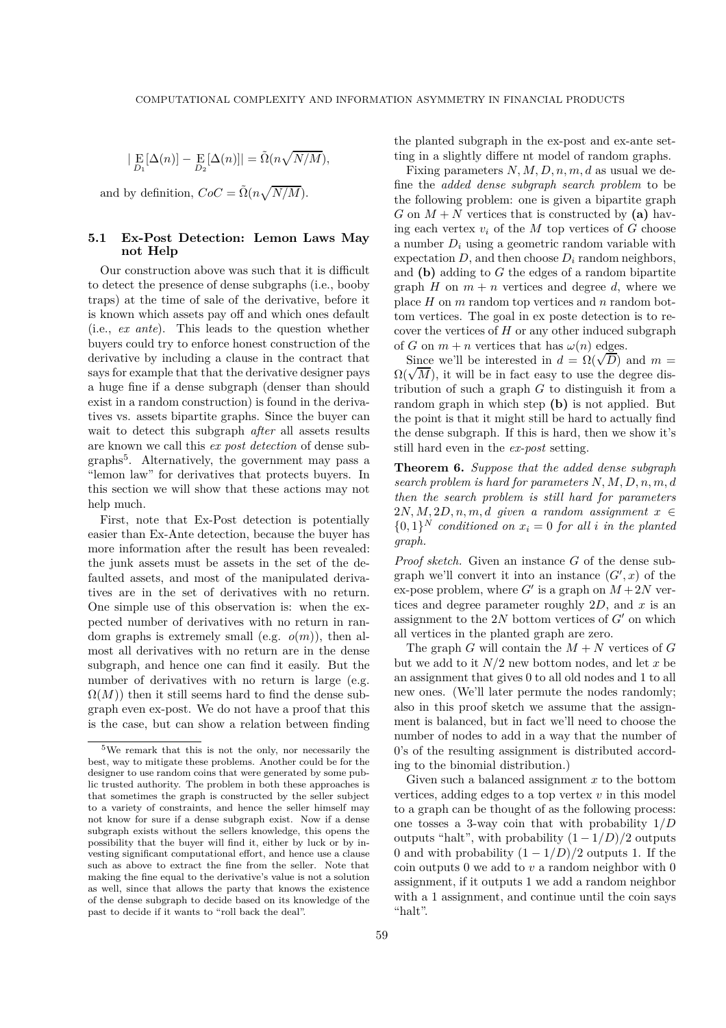$$
|\mathop{\mathrm{E}}_{D_1}[\Delta(n)] - \mathop{\mathrm{E}}_{D_2}[\Delta(n)]| = \tilde{\Omega}(n\sqrt{N/M}),
$$

and by definition,  $CoC = \tilde{\Omega}(n\sqrt{N/M})$ .

#### **5.1 Ex-Post Detection: Lemon Laws May not Help**

Our construction above was such that it is difficult to detect the presence of dense subgraphs (i.e., booby traps) at the time of sale of the derivative, before it is known which assets pay off and which ones default (i.e., *ex ante*). This leads to the question whether buyers could try to enforce honest construction of the derivative by including a clause in the contract that says for example that that the derivative designer pays a huge fine if a dense subgraph (denser than should exist in a random construction) is found in the derivatives vs. assets bipartite graphs. Since the buyer can wait to detect this subgraph *after* all assets results are known we call this *ex post detection* of dense subgraphs5. Alternatively, the government may pass a "lemon law" for derivatives that protects buyers. In this section we will show that these actions may not help much.

First, note that Ex-Post detection is potentially easier than Ex-Ante detection, because the buyer has more information after the result has been revealed: the junk assets must be assets in the set of the defaulted assets, and most of the manipulated derivatives are in the set of derivatives with no return. One simple use of this observation is: when the expected number of derivatives with no return in random graphs is extremely small (e.g. *o*(*m*)), then almost all derivatives with no return are in the dense subgraph, and hence one can find it easily. But the number of derivatives with no return is large (e.g.  $\Omega(M)$ ) then it still seems hard to find the dense subgraph even ex-post. We do not have a proof that this is the case, but can show a relation between finding

the planted subgraph in the ex-post and ex-ante setting in a slightly differe nt model of random graphs.

Fixing parameters *N, M, D, n, m, d* as usual we define the *added dense subgraph search problem* to be the following problem: one is given a bipartite graph *G* on  $M + N$  vertices that is constructed by (a) having each vertex  $v_i$  of the  $M$  top vertices of  $G$  choose a number *D<sup>i</sup>* using a geometric random variable with expectation  $D$ , and then choose  $D_i$  random neighbors, and **(b)** adding to *G* the edges of a random bipartite graph *H* on  $m + n$  vertices and degree *d*, where we place *H* on *m* random top vertices and *n* random bottom vertices. The goal in ex poste detection is to recover the vertices of *H* or any other induced subgraph of *G* on  $m + n$  vertices that has  $\omega(n)$  edges.

Since we'll be interested in  $d = \Omega(\sqrt{D})$  and  $m =$  $\Omega(\sqrt{M})$ , it will be in fact easy to use the degree distribution of such a graph *G* to distinguish it from a random graph in which step **(b)** is not applied. But the point is that it might still be hard to actually find the dense subgraph. If this is hard, then we show it's still hard even in the *ex-post* setting.

**Theorem 6.** *Suppose that the added dense subgraph search problem is hard for parameters N, M, D, n, m, d then the search problem is still hard for parameters*  $2N, M, 2D, n, m, d$  *given a random assignment*  $x \in$  ${0, 1}^N$  *conditioned on*  $x_i = 0$  *for all i in the planted graph.*

*Proof sketch.* Given an instance *G* of the dense subgraph we'll convert it into an instance  $(G', x)$  of the ex-pose problem, where  $G'$  is a graph on  $M + 2N$  vertices and degree parameter roughly 2*D*, and *x* is an assignment to the  $2N$  bottom vertices of  $G'$  on which all vertices in the planted graph are zero.

The graph *G* will contain the  $M + N$  vertices of *G* but we add to it  $N/2$  new bottom nodes, and let  $x$  be an assignment that gives 0 to all old nodes and 1 to all new ones. (We'll later permute the nodes randomly; also in this proof sketch we assume that the assignment is balanced, but in fact we'll need to choose the number of nodes to add in a way that the number of 0's of the resulting assignment is distributed according to the binomial distribution.)

Given such a balanced assignment *x* to the bottom vertices, adding edges to a top vertex *v* in this model to a graph can be thought of as the following process: one tosses a 3-way coin that with probability 1*/D* outputs "halt", with probability  $(1 - 1/D)/2$  outputs 0 and with probability  $(1 - 1/D)/2$  outputs 1. If the coin outputs 0 we add to *v* a random neighbor with 0 assignment, if it outputs 1 we add a random neighbor with a 1 assignment, and continue until the coin says "halt".

<sup>5</sup>We remark that this is not the only, nor necessarily the best, way to mitigate these problems. Another could be for the designer to use random coins that were generated by some public trusted authority. The problem in both these approaches is that sometimes the graph is constructed by the seller subject to a variety of constraints, and hence the seller himself may not know for sure if a dense subgraph exist. Now if a dense subgraph exists without the sellers knowledge, this opens the possibility that the buyer will find it, either by luck or by investing significant computational effort, and hence use a clause such as above to extract the fine from the seller. Note that making the fine equal to the derivative's value is not a solution as well, since that allows the party that knows the existence of the dense subgraph to decide based on its knowledge of the past to decide if it wants to "roll back the deal".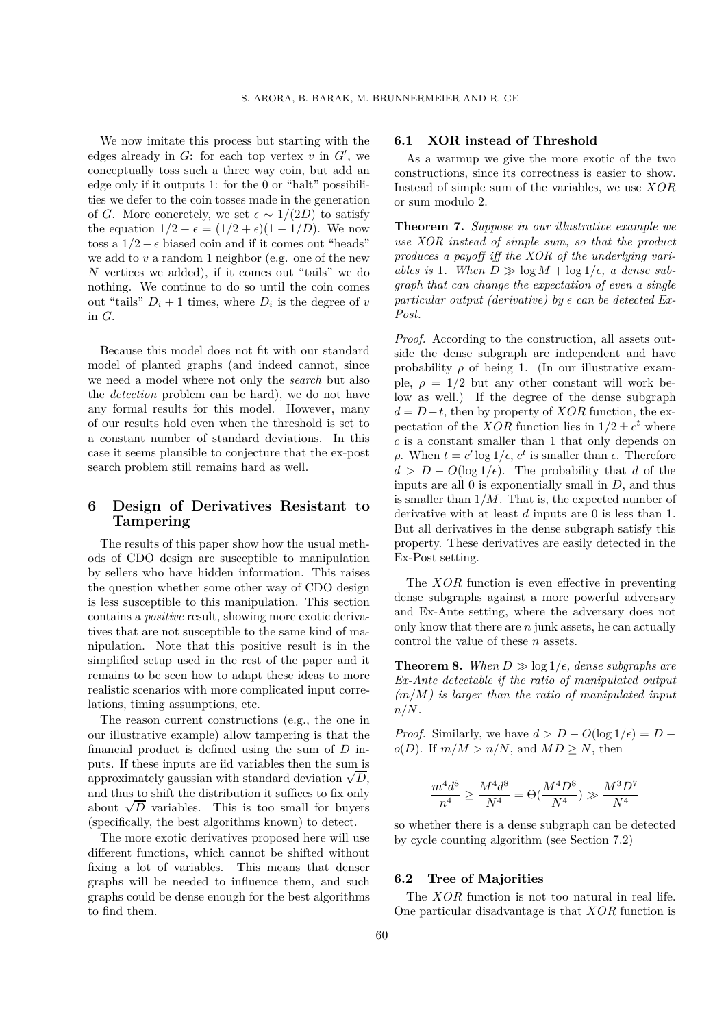We now imitate this process but starting with the edges already in  $G$ : for each top vertex  $v$  in  $G'$ , we conceptually toss such a three way coin, but add an edge only if it outputs 1: for the 0 or "halt" possibilities we defer to the coin tosses made in the generation of *G*. More concretely, we set  $\epsilon \sim 1/(2D)$  to satisfy the equation  $1/2 - \epsilon = (1/2 + \epsilon)(1 - 1/D)$ . We now toss a  $1/2 - \epsilon$  biased coin and if it comes out "heads" we add to *v* a random 1 neighbor (e.g. one of the new *N* vertices we added), if it comes out "tails" we do nothing. We continue to do so until the coin comes out "tails"  $D_i + 1$  times, where  $D_i$  is the degree of *v* in *G*.

Because this model does not fit with our standard model of planted graphs (and indeed cannot, since we need a model where not only the *search* but also the *detection* problem can be hard), we do not have any formal results for this model. However, many of our results hold even when the threshold is set to a constant number of standard deviations. In this case it seems plausible to conjecture that the ex-post search problem still remains hard as well.

# **6 Design of Derivatives Resistant to Tampering**

The results of this paper show how the usual methods of CDO design are susceptible to manipulation by sellers who have hidden information. This raises the question whether some other way of CDO design is less susceptible to this manipulation. This section contains a *positive* result, showing more exotic derivatives that are not susceptible to the same kind of manipulation. Note that this positive result is in the simplified setup used in the rest of the paper and it remains to be seen how to adapt these ideas to more realistic scenarios with more complicated input correlations, timing assumptions, etc.

The reason current constructions (e.g., the one in our illustrative example) allow tampering is that the financial product is defined using the sum of *D* inputs. If these inputs are iid variables then the sum is  $\frac{1}{2}$  approximately gaussian with standard deviation  $\sqrt{D}$ , and thus to shift the distribution it suffices to fix only about  $\sqrt{D}$  variables. This is too small for buyers (specifically, the best algorithms known) to detect.

The more exotic derivatives proposed here will use different functions, which cannot be shifted without fixing a lot of variables. This means that denser graphs will be needed to influence them, and such graphs could be dense enough for the best algorithms to find them.

# **6.1 XOR instead of Threshold**

As a warmup we give the more exotic of the two constructions, since its correctness is easier to show. Instead of simple sum of the variables, we use *XOR* or sum modulo 2.

**Theorem 7.** *Suppose in our illustrative example we use XOR instead of simple sum, so that the product produces a payoff iff the XOR of the underlying variables is* 1*. When*  $D \gg \log M + \log 1/\epsilon$ , *a dense subgraph that can change the expectation of even a single* particular output (derivative) by  $\epsilon$  can be detected Ex-*Post.*

*Proof.* According to the construction, all assets outside the dense subgraph are independent and have probability  $\rho$  of being 1. (In our illustrative example,  $\rho = 1/2$  but any other constant will work below as well.) If the degree of the dense subgraph  $d = D - t$ , then by property of *XOR* function, the expectation of the *XOR* function lies in  $1/2 \pm c^t$  where *c* is a constant smaller than 1 that only depends on *ρ*. When  $t = c' \log 1/\epsilon$ ,  $c^t$  is smaller than  $\epsilon$ . Therefore  $d > D - O(\log 1/\epsilon)$ . The probability that *d* of the inputs are all 0 is exponentially small in *D*, and thus is smaller than 1*/M*. That is, the expected number of derivative with at least *d* inputs are 0 is less than 1. But all derivatives in the dense subgraph satisfy this property. These derivatives are easily detected in the Ex-Post setting.

The *XOR* function is even effective in preventing dense subgraphs against a more powerful adversary and Ex-Ante setting, where the adversary does not only know that there are *n* junk assets, he can actually control the value of these *n* assets.

**Theorem 8.** When  $D \gg \log 1/\epsilon$ , dense subgraphs are *Ex-Ante detectable if the ratio of manipulated output (m/M) is larger than the ratio of manipulated input n/N.*

*Proof.* Similarly, we have  $d > D - O(\log 1/\epsilon) = D$  $o(D)$ . If  $m/M > n/N$ , and  $MD \geq N$ , then

$$
\frac{m^4d^8}{n^4} \ge \frac{M^4d^8}{N^4} = \Theta(\frac{M^4D^8}{N^4}) \gg \frac{M^3D^7}{N^4}
$$

so whether there is a dense subgraph can be detected by cycle counting algorithm (see Section 7.2)

#### **6.2 Tree of Majorities**

The *XOR* function is not too natural in real life. One particular disadvantage is that *XOR* function is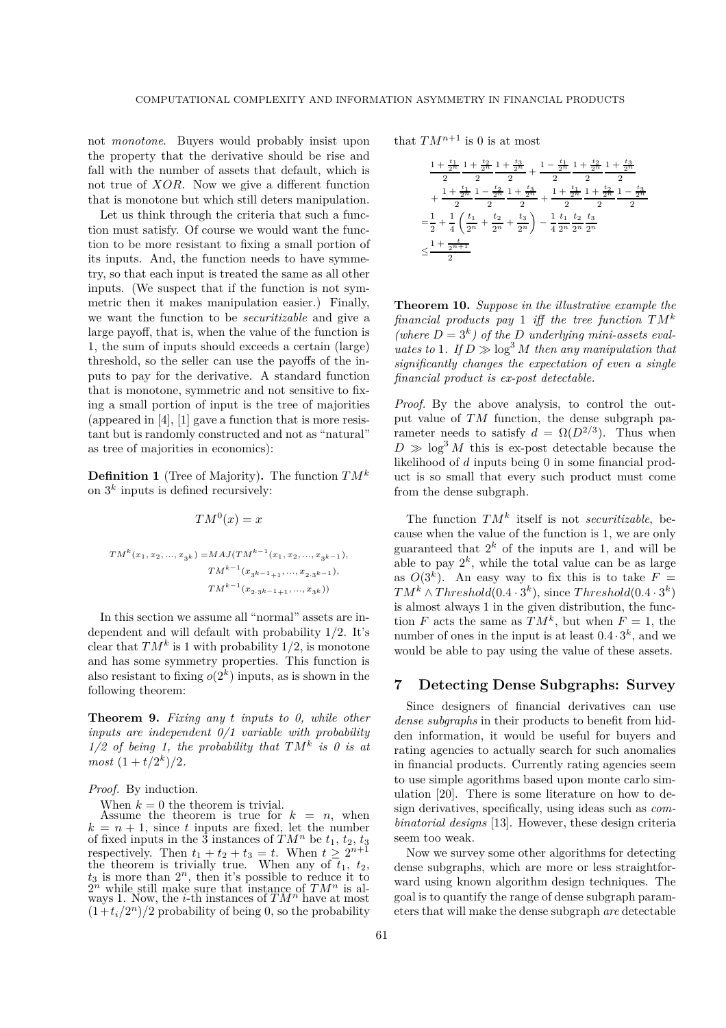not *monotone*. Buyers would probably insist upon the property that the derivative should be rise and fall with the number of assets that default, which is not true of *XOR*. Now we give a different function that is monotone but which still deters manipulation.

Let us think through the criteria that such a function must satisfy. Of course we would want the function to be more resistant to fixing a small portion of its inputs. And, the function needs to have symmetry, so that each input is treated the same as all other inputs. (We suspect that if the function is not symmetric then it makes manipulation easier.) Finally, we want the function to be *securitizable* and give a large payoff, that is, when the value of the function is 1, the sum of inputs should exceeds a certain (large) threshold, so the seller can use the payoffs of the inputs to pay for the derivative. A standard function that is monotone, symmetric and not sensitive to fixing a small portion of input is the tree of majorities (appeared in [4], [1] gave a function that is more resistant but is randomly constructed and not as "natural" as tree of majorities in economics):

**Definition 1** (Tree of Majority)**.** The function *TM<sup>k</sup>* on  $3^k$  inputs is defined recursively:

$$
TM^0(x) = x
$$

$$
TM^{k}(x_{1}, x_{2}, ..., x_{3^{k}}) = MAJ(TM^{k-1}(x_{1}, x_{2}, ..., x_{3^{k-1}}),
$$

$$
TM^{k-1}(x_{3^{k-1}+1}, ..., x_{2 \cdot 3^{k-1}}),
$$

$$
TM^{k-1}(x_{2 \cdot 3^{k-1}+1}, ..., x_{3^{k}}))
$$

In this section we assume all "normal" assets are independent and will default with probability 1/2. It's clear that  $TM^k$  is 1 with probability  $1/2$ , is monotone and has some symmetry properties. This function is also resistant to fixing  $o(2^k)$  inputs, as is shown in the following theorem:

**Theorem 9.** *Fixing any t inputs to 0, while other inputs are independent 0/1 variable with probability 1/2 of being 1, the probability that TM<sup>k</sup> is 0 is at most*  $(1 + t/2^{k})/2$ *.* 

#### *Proof.* By induction.

When  $k = 0$  the theorem is trivial.

Assume the theorem is true for  $k = n$ , when  $k = n + 1$ , since *t* inputs are fixed, let the number of fixed inputs in the 3 instances of  $TM^n$  be  $t_1, t_2, t_3$ respectively. Then  $t_1 + t_2 + t_3 = t$ . When  $t \geq 2^{n+1}$ <br>the theorem is trivially true. When any of  $t_1$ ,  $t_2$ the theorem is trivially true. When any of  $t_1$ ,  $t_2$ ,  $t_3$  is more than  $2^n$ , then it's possible to reduce it to  $2^n$  while still make sure that instance of  $TM^n$  is al- $2^n$  while still make sure that instance of  $TM^n$  is always 1. Now, the *i*-th instances of  $TM^n$  have at most  $(1+t_i/2^n)/2$  probability of being 0, so the probability

that  $TM^{n+1}$  is 0 is at most

$$
\begin{aligned}&\frac{1+\frac{t_1}{2^n}}{2}\frac{1+\frac{t_2}{2^n}}{2}+\frac{t_3}{2^n}+\frac{1-\frac{t_1}{2^n}}{2}\frac{1+\frac{t_2}{2^n}}{2}\frac{1+\frac{t_3}{2^n}}{2}\\&+\frac{1+\frac{t_1}{2^n}}{2}\frac{1-\frac{t_2}{2^n}}{2}\frac{1+\frac{t_3}{2^n}}{2}+\frac{1+\frac{t_1}{2^n}}{2}\frac{1+\frac{t_2}{2^n}}{2}\frac{1-\frac{t_3}{2^n}}{2}\\=&\frac{1}{2}+\frac{1}{4}\left(\frac{t_1}{2^n}+\frac{t_2}{2^n}+\frac{t_3}{2^n}\right)-\frac{1}{4}\frac{t_1}{2^n}\frac{t_2}{2^n}\frac{t_3}{2^n}\\&\leq&\frac{1+\frac{t}{2^n+1}}{2}\end{aligned}
$$

**Theorem 10.** *Suppose in the illustrative example the financial products pay* 1 *iff the tree function TM<sup>k</sup>* (where  $D = 3<sup>k</sup>$ ) of the *D* underlying mini-assets eval*uates to* 1*.* If  $D \gg \log^3 M$  *then any manipulation that significantly changes the expectation of even a single financial product is ex-post detectable.*

*Proof.* By the above analysis, to control the output value of *TM* function, the dense subgraph parameter needs to satisfy  $d = \Omega(D^{2/3})$ . Thus when  $D \gg \log^3 M$  this is ex-post detectable because the likelihood of *d* inputs being 0 in some financial product is so small that every such product must come from the dense subgraph.

The function *TM<sup>k</sup>* itself is not *securitizable*, because when the value of the function is 1, we are only guaranteed that  $2^k$  of the inputs are 1, and will be able to pay  $2^k$ , while the total value can be as large as  $O(3^k)$ . An easy way to fix this is to take  $F =$  $TM^k \wedge Threshold(0.4 \cdot 3^k)$ , since  $Threshold(0.4 \cdot 3^k)$ is almost always 1 in the given distribution, the function *F* acts the same as  $TM^k$ , but when  $F = 1$ , the number of ones in the input is at least  $0.4 \cdot 3^k$ , and we would be able to pay using the value of these assets.

## **7 Detecting Dense Subgraphs: Survey**

Since designers of financial derivatives can use *dense subgraphs* in their products to benefit from hidden information, it would be useful for buyers and rating agencies to actually search for such anomalies in financial products. Currently rating agencies seem to use simple agorithms based upon monte carlo simulation [20]. There is some literature on how to design derivatives, specifically, using ideas such as *combinatorial designs* [13]. However, these design criteria seem too weak.

Now we survey some other algorithms for detecting dense subgraphs, which are more or less straightforward using known algorithm design techniques. The goal is to quantify the range of dense subgraph parameters that will make the dense subgraph *are* detectable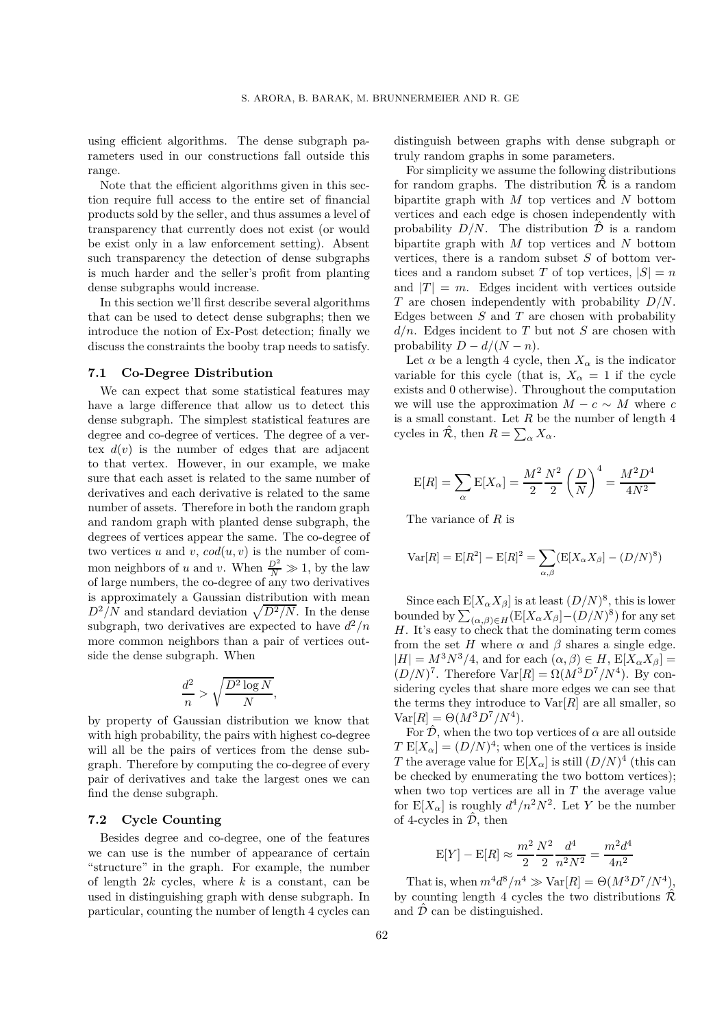using efficient algorithms. The dense subgraph parameters used in our constructions fall outside this range.

Note that the efficient algorithms given in this section require full access to the entire set of financial products sold by the seller, and thus assumes a level of transparency that currently does not exist (or would be exist only in a law enforcement setting). Absent such transparency the detection of dense subgraphs is much harder and the seller's profit from planting dense subgraphs would increase.

In this section we'll first describe several algorithms that can be used to detect dense subgraphs; then we introduce the notion of Ex-Post detection; finally we discuss the constraints the booby trap needs to satisfy.

#### **7.1 Co-Degree Distribution**

We can expect that some statistical features may have a large difference that allow us to detect this dense subgraph. The simplest statistical features are degree and co-degree of vertices. The degree of a vertex  $d(v)$  is the number of edges that are adjacent to that vertex. However, in our example, we make sure that each asset is related to the same number of derivatives and each derivative is related to the same number of assets. Therefore in both the random graph and random graph with planted dense subgraph, the degrees of vertices appear the same. The co-degree of two vertices *u* and *v*,  $cod(u, v)$  is the number of common neighbors of *u* and *v*. When  $\frac{D^2}{N} \gg 1$ , by the law of large numbers, the co-degree of any two derivatives is approximately a Gaussian distribution with mean  $D^2/N$  and standard deviation  $\sqrt{D^2/N}$ . In the dense subgraph, two derivatives are expected to have  $d^2/n$ more common neighbors than a pair of vertices outside the dense subgraph. When

$$
\frac{d^2}{n} > \sqrt{\frac{D^2 \log N}{N}},
$$

by property of Gaussian distribution we know that with high probability, the pairs with highest co-degree will all be the pairs of vertices from the dense subgraph. Therefore by computing the co-degree of every pair of derivatives and take the largest ones we can find the dense subgraph.

## **7.2 Cycle Counting**

Besides degree and co-degree, one of the features we can use is the number of appearance of certain "structure" in the graph. For example, the number of length 2*k* cycles, where *k* is a constant, can be used in distinguishing graph with dense subgraph. In particular, counting the number of length 4 cycles can distinguish between graphs with dense subgraph or truly random graphs in some parameters.

For simplicity we assume the following distributions for random graphs. The distribution  $\hat{\mathcal{R}}$  is a random bipartite graph with *M* top vertices and *N* bottom vertices and each edge is chosen independently with probability  $D/N$ . The distribution  $\mathcal D$  is a random bipartite graph with *M* top vertices and *N* bottom vertices, there is a random subset *S* of bottom vertices and a random subset *T* of top vertices,  $|S| = n$ and  $|T| = m$ . Edges incident with vertices outside *T* are chosen independently with probability *D/N*. Edges between *S* and *T* are chosen with probability *d/n*. Edges incident to *T* but not *S* are chosen with probability  $D - d/(N - n)$ .

Let  $\alpha$  be a length 4 cycle, then  $X_{\alpha}$  is the indicator variable for this cycle (that is,  $X_\alpha = 1$  if the cycle exists and 0 otherwise). Throughout the computation we will use the approximation  $M - c \sim M$  where *c* is a small constant. Let *R* be the number of length 4 cycles in  $\hat{\mathcal{R}}$ , then  $R = \sum_{\alpha} X_{\alpha}$ .

$$
E[R] = \sum_{\alpha} E[X_{\alpha}] = \frac{M^2}{2} \frac{N^2}{2} \left(\frac{D}{N}\right)^4 = \frac{M^2 D^4}{4N^2}
$$

The variance of *R* is

$$
Var[R] = E[R2] - E[R]2 = \sum_{\alpha,\beta} (E[X_{\alpha}X_{\beta}] - (D/N)^{8})
$$

Since each  $E[X_\alpha X_\beta]$  is at least  $(D/N)^8$ , this is lower bounded by  $\sum_{(\alpha,\beta)\in H} (E[X_{\alpha}X_{\beta}]- (D/N)^{8})$  for any set  $H$ . It's easy to check that the dominating term comes *H*. It's easy to check that the dominating term comes from the set *H* where  $\alpha$  and  $\beta$  shares a single edge.  $|H| = M^3 N^3/4$ , and for each  $(\alpha, \beta) \in H$ ,  $E[X_\alpha X_\beta] =$  $(D/N)^7$ . Therefore Var $[R] = \Omega(M^3D^7/N^4)$ . By considering cycles that share more edges we can see that the terms they introduce to  $Var[R]$  are all smaller, so  $Var[R] = \Theta(M^3D^7/N^4).$ 

For  $\hat{\mathcal{D}}$ , when the two top vertices of  $\alpha$  are all outside  $T E[X_\alpha] = (D/N)^4$ ; when one of the vertices is inside *T* the average value for  $E[X_\alpha]$  is still  $(D/N)^4$  (this can be checked by enumerating the two bottom vertices); when two top vertices are all in *T* the average value for  $E[X_\alpha]$  is roughly  $d^4/n^2N^2$ . Let *Y* be the number of 4-cycles in  $\hat{\mathcal{D}}$ , then

$$
E[Y] - E[R] \approx \frac{m^2}{2} \frac{N^2}{2} \frac{d^4}{n^2 N^2} = \frac{m^2 d^4}{4n^2}
$$

That is, when  $m^4d^8/n^4 \gg \text{Var}[R] = \Theta(M^3D^7/N^4)$ , by counting length 4 cycles the two distributions  $\hat{\mathcal{R}}$ and  $\hat{\mathcal{D}}$  can be distinguished.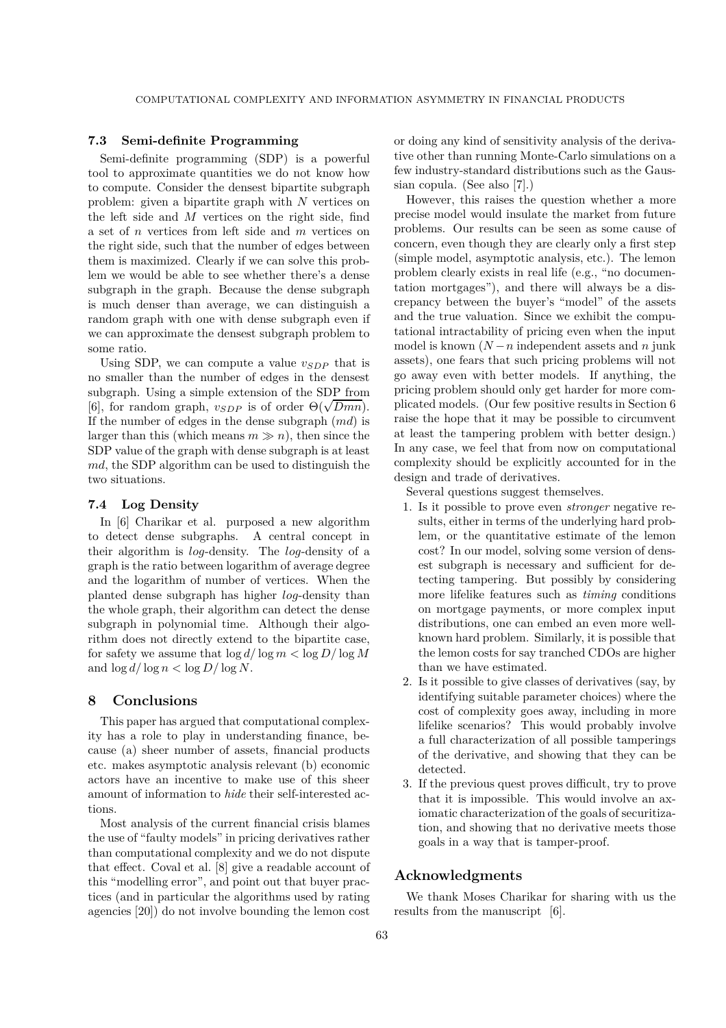# **7.3 Semi-definite Programming**

Semi-definite programming (SDP) is a powerful tool to approximate quantities we do not know how to compute. Consider the densest bipartite subgraph problem: given a bipartite graph with *N* vertices on the left side and *M* vertices on the right side, find a set of *n* vertices from left side and *m* vertices on the right side, such that the number of edges between them is maximized. Clearly if we can solve this problem we would be able to see whether there's a dense subgraph in the graph. Because the dense subgraph is much denser than average, we can distinguish a random graph with one with dense subgraph even if we can approximate the densest subgraph problem to some ratio.

Using SDP, we can compute a value  $v_{SDP}$  that is no smaller than the number of edges in the densest subgraph. Using a simple extension of the SDP from  $[6]$ , for random graph,  $v_{SDP}$  is of order  $\Theta(\sqrt{Dmn})$ . If the number of edges in the dense subgraph (*md*) is larger than this (which means  $m \gg n$ ), then since the SDP value of the graph with dense subgraph is at least *md*, the SDP algorithm can be used to distinguish the two situations.

## **7.4 Log Density**

In [6] Charikar et al. purposed a new algorithm to detect dense subgraphs. A central concept in their algorithm is *log*-density. The *log*-density of a graph is the ratio between logarithm of average degree and the logarithm of number of vertices. When the planted dense subgraph has higher *log*-density than the whole graph, their algorithm can detect the dense subgraph in polynomial time. Although their algorithm does not directly extend to the bipartite case, for safety we assume that  $\log d / \log m < \log D / \log M$ and  $\log d / \log n < \log D / \log N$ .

## **8 Conclusions**

This paper has argued that computational complexity has a role to play in understanding finance, because (a) sheer number of assets, financial products etc. makes asymptotic analysis relevant (b) economic actors have an incentive to make use of this sheer amount of information to *hide* their self-interested actions.

Most analysis of the current financial crisis blames the use of "faulty models" in pricing derivatives rather than computational complexity and we do not dispute that effect. Coval et al. [8] give a readable account of this "modelling error", and point out that buyer practices (and in particular the algorithms used by rating agencies [20]) do not involve bounding the lemon cost

or doing any kind of sensitivity analysis of the derivative other than running Monte-Carlo simulations on a few industry-standard distributions such as the Gaussian copula. (See also [7].)

However, this raises the question whether a more precise model would insulate the market from future problems. Our results can be seen as some cause of concern, even though they are clearly only a first step (simple model, asymptotic analysis, etc.). The lemon problem clearly exists in real life (e.g., "no documentation mortgages"), and there will always be a discrepancy between the buyer's "model" of the assets and the true valuation. Since we exhibit the computational intractability of pricing even when the input model is known  $(N - n)$  independent assets and  $n$  junk assets), one fears that such pricing problems will not go away even with better models. If anything, the pricing problem should only get harder for more complicated models. (Our few positive results in Section 6 raise the hope that it may be possible to circumvent at least the tampering problem with better design.) In any case, we feel that from now on computational complexity should be explicitly accounted for in the design and trade of derivatives.

Several questions suggest themselves.

- 1. Is it possible to prove even *stronger* negative results, either in terms of the underlying hard problem, or the quantitative estimate of the lemon cost? In our model, solving some version of densest subgraph is necessary and sufficient for detecting tampering. But possibly by considering more lifelike features such as *timing* conditions on mortgage payments, or more complex input distributions, one can embed an even more wellknown hard problem. Similarly, it is possible that the lemon costs for say tranched CDOs are higher than we have estimated.
- 2. Is it possible to give classes of derivatives (say, by identifying suitable parameter choices) where the cost of complexity goes away, including in more lifelike scenarios? This would probably involve a full characterization of all possible tamperings of the derivative, and showing that they can be detected.
- 3. If the previous quest proves difficult, try to prove that it is impossible. This would involve an axiomatic characterization of the goals of securitization, and showing that no derivative meets those goals in a way that is tamper-proof.

# **Acknowledgments**

We thank Moses Charikar for sharing with us the results from the manuscript [6].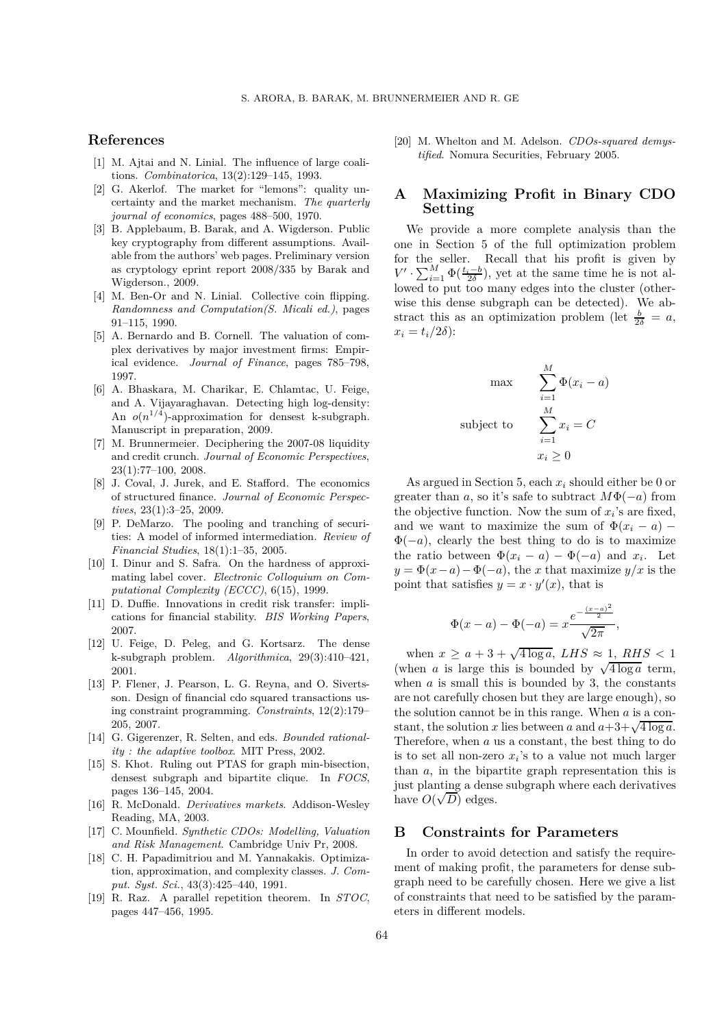# **References**

- [1] M. Ajtai and N. Linial. The influence of large coalitions. *Combinatorica*, 13(2):129–145, 1993.
- [2] G. Akerlof. The market for "lemons": quality uncertainty and the market mechanism. *The quarterly journal of economics*, pages 488–500, 1970.
- [3] B. Applebaum, B. Barak, and A. Wigderson. Public key cryptography from different assumptions. Available from the authors' web pages. Preliminary version as cryptology eprint report 2008/335 by Barak and Wigderson., 2009.
- [4] M. Ben-Or and N. Linial. Collective coin flipping. *Randomness and Computation(S. Micali ed.)*, pages 91–115, 1990.
- [5] A. Bernardo and B. Cornell. The valuation of complex derivatives by major investment firms: Empirical evidence. *Journal of Finance*, pages 785–798, 1997.
- [6] A. Bhaskara, M. Charikar, E. Chlamtac, U. Feige, and A. Vijayaraghavan. Detecting high log-density: An  $o(n^{1/4})$ -approximation for densest k-subgraph. Manuscript in preparation, 2009.
- [7] M. Brunnermeier. Deciphering the 2007-08 liquidity and credit crunch. *Journal of Economic Perspectives*, 23(1):77–100, 2008.
- [8] J. Coval, J. Jurek, and E. Stafford. The economics of structured finance. *Journal of Economic Perspectives*, 23(1):3–25, 2009.
- [9] P. DeMarzo. The pooling and tranching of securities: A model of informed intermediation. *Review of Financial Studies*, 18(1):1–35, 2005.
- [10] I. Dinur and S. Safra. On the hardness of approximating label cover. *Electronic Colloquium on Computational Complexity (ECCC)*, 6(15), 1999.
- [11] D. Duffie. Innovations in credit risk transfer: implications for financial stability. *BIS Working Papers*, 2007.
- [12] U. Feige, D. Peleg, and G. Kortsarz. The dense k-subgraph problem. *Algorithmica*, 29(3):410–421, 2001.
- [13] P. Flener, J. Pearson, L. G. Reyna, and O. Sivertsson. Design of financial cdo squared transactions using constraint programming. *Constraints*, 12(2):179– 205, 2007.
- [14] G. Gigerenzer, R. Selten, and eds. *Bounded rationality : the adaptive toolbox*. MIT Press, 2002.
- [15] S. Khot. Ruling out PTAS for graph min-bisection, densest subgraph and bipartite clique. In *FOCS*, pages 136–145, 2004.
- [16] R. McDonald. *Derivatives markets*. Addison-Wesley Reading, MA, 2003.
- [17] C. Mounfield. *Synthetic CDOs: Modelling, Valuation and Risk Management*. Cambridge Univ Pr, 2008.
- [18] C. H. Papadimitriou and M. Yannakakis. Optimization, approximation, and complexity classes. *J. Comput. Syst. Sci.*, 43(3):425–440, 1991.
- [19] R. Raz. A parallel repetition theorem. In *STOC*, pages 447–456, 1995.

[20] M. Whelton and M. Adelson. *CDOs-squared demystified*. Nomura Securities, February 2005.

# **A Maximizing Profit in Binary CDO Setting**

We provide a more complete analysis than the one in Section 5 of the full optimization problem for the seller. Recall that his profit is given by  $V' \cdot \sum_{i=1}^{M} \Phi(\frac{t_i-b}{2\delta})$ , yet at the same time he is not al-<br>lowed to put too many edges into the cluster (otherlowed to put too many edges into the cluster (otherwise this dense subgraph can be detected). We abstract this as an optimization problem (let  $\frac{b}{2\delta} = a$ ,  $x_i - t_i/2\delta$ ).  $x_i = t_i/2\delta$ :

$$
\max \qquad \sum_{i=1}^{M} \Phi(x_i - a)
$$
\n
$$
\text{subject to} \qquad \sum_{i=1}^{M} x_i = C
$$
\n
$$
x_i \geq 0
$$

As argued in Section 5, each *x<sup>i</sup>* should either be 0 or greater than *a*, so it's safe to subtract  $M\Phi(-a)$  from the objective function. Now the sum of  $x_i$ 's are fixed, and we want to maximize the sum of  $\Phi(x_i - a)$  –  $\Phi(-a)$ , clearly the best thing to do is to maximize the ratio between  $\Phi(x_i - a) - \Phi(-a)$  and  $x_i$ . Let  $y = \Phi(x-a) - \Phi(-a)$ , the *x* that maximize  $y/x$  is the point that satisfies  $y = x \cdot y'(x)$ , that is

$$
\Phi(x-a) - \Phi(-a) = x \frac{e^{-\frac{(x-a)^2}{2}}}{\sqrt{2\pi}},
$$

when  $x \ge a + 3 + \sqrt{4 \log a}$ , *LHS*  $\approx 1$ , *RHS* < 1 (when *a* is large this is bounded by  $\sqrt{4 \log a}$  term, when  $a$  is small this is bounded by 3, the constants are not carefully chosen but they are large enough), so the solution cannot be in this range. When *a* is a constant, the solution *x* lies between *a* and  $a+3+\sqrt{4 \log a}$ . Therefore, when *a* us a constant, the best thing to do is to set all non-zero  $x_i$ 's to a value not much larger than *a*, in the bipartite graph representation this is just planting a dense subgraph where each derivatives have  $O(\sqrt{D})$  edges.

#### **B Constraints for Parameters**

In order to avoid detection and satisfy the requirement of making profit, the parameters for dense subgraph need to be carefully chosen. Here we give a list of constraints that need to be satisfied by the parameters in different models.